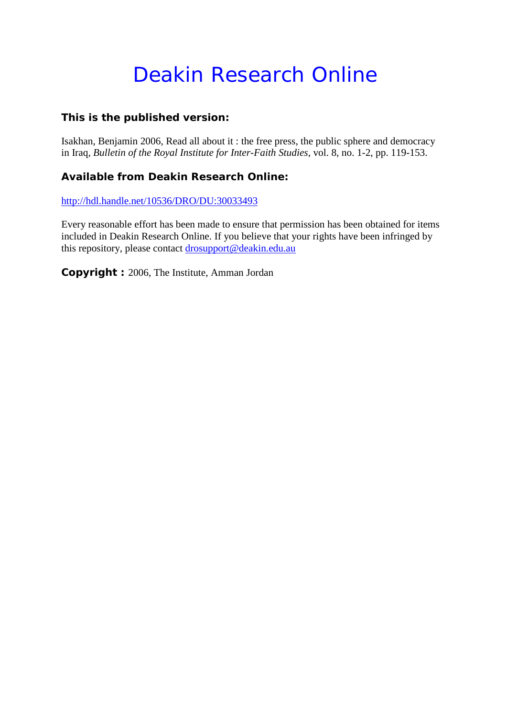# Deakin Research Online

# **This is the published version:**

Isakhan, Benjamin 2006, Read all about it : the free press, the public sphere and democracy in Iraq*, Bulletin of the Royal Institute for Inter-Faith Studies*, vol. 8, no. 1-2, pp. 119-153.

# **Available from Deakin Research Online:**

<http://hdl.handle.net/10536/DRO/DU:30033493>

Every reasonable effort has been made to ensure that permission has been obtained for items included in Deakin Research Online. If you believe that your rights have been infringed by this repository, please contact [drosupport@deakin.edu.au](mailto:drosupport@deakin.edu.au)

**Copyright :** 2006, The Institute, Amman Jordan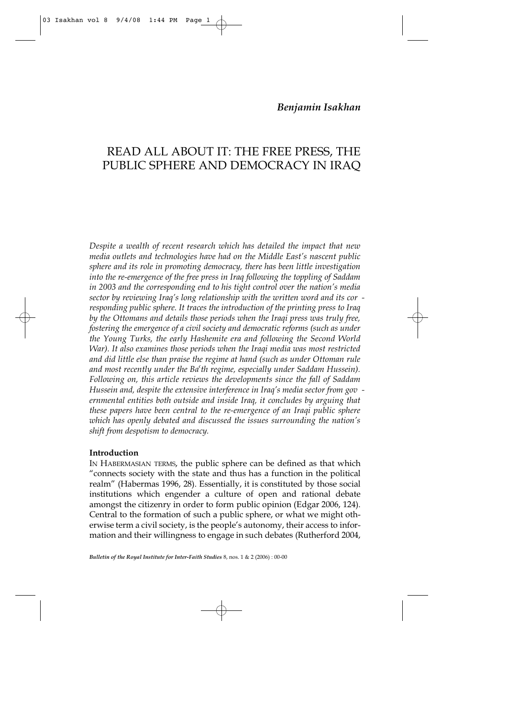## READ ALL ABOUT IT: THE FREE PRESS, THE PUBLIC SPHERE AND DEMOCRACY IN IRAQ

*Despite a wealth of recent research which has detailed the impact that new media outlets and technologies have had on the Middle East's nascent public sphere and its role in promoting democracy, there has been little investigation into the re-emergence of the free press in Iraq following the toppling of Saddam in 2003 and the corresponding end to his tight control over the nation's media sector by reviewing Iraq's long relationship with the written word and its cor responding public sphere. It traces the introduction of the printing press to Iraq by the Ottomans and details those periods when the Iraqi press was truly free, fostering the emergence of a civil society and democratic reforms (such as under the Young Turks, the early Hashemite era and following the Second World War). It also examines those periods when the Iraqi media was most restricted and did little else than praise the regime at hand (such as under Ottoman rule and most recently under the Ba†th regime, especially under Saddam Hussein). Following on, this article reviews the developments since the fall of Saddam Hussein and, despite the extensive interference in Iraq's media sector from gov ernmental entities both outside and inside Iraq, it concludes by arguing that these papers have been central to the re-emergence of an Iraqi public sphere which has openly debated and discussed the issues surrounding the nation's shift from despotism to democracy.*

## **Introduction**

03 Isakhan vol 8 9/4/08 1:44 PM Page

IN HABERMASIAN TERMS, the public sphere can be defined as that which "connects society with the state and thus has a function in the political realm" (Habermas 1996, 28). Essentially, it is constituted by those social institutions which engender a culture of open and rational debate amongst the citizenry in order to form public opinion (Edgar 2006, 124). Central to the formation of such a public sphere, or what we might otherwise term a civil society, is the people's autonomy, their access to information and their willingness to engage in such debates (Rutherford 2004,

*Bulletin of the Royal Institute for Inter-Faith Studies* 8, nos. 1 & 2 (2006) : 00-00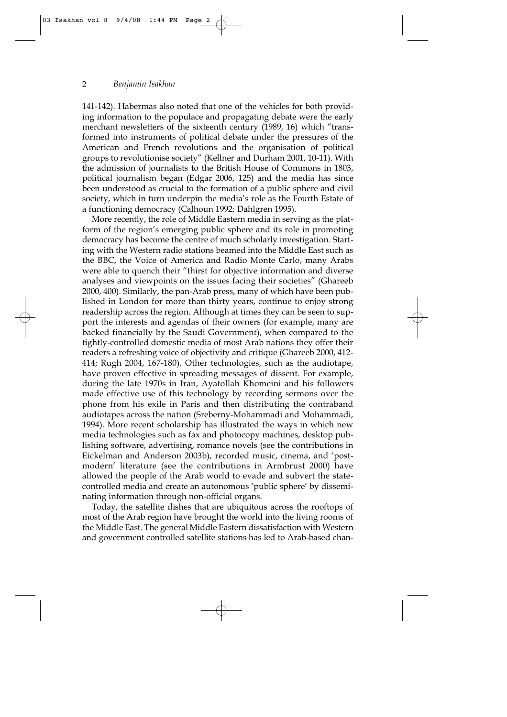141-142). Habermas also noted that one of the vehicles for both providing information to the populace and propagating debate were the early merchant newsletters of the sixteenth century (1989, 16) which "transformed into instruments of political debate under the pressures of the American and French revolutions and the organisation of political groups to revolutionise society" (Kellner and Durham 2001, 10-11). With the admission of journalists to the British House of Commons in 1803, political journalism began (Edgar 2006, 125) and the media has since been understood as crucial to the formation of a public sphere and civil society, which in turn underpin the media's role as the Fourth Estate of a functioning democracy (Calhoun 1992; Dahlgren 1995).

More recently, the role of Middle Eastern media in serving as the platform of the region's emerging public sphere and its role in promoting democracy has become the centre of much scholarly investigation. Starting with the Western radio stations beamed into the Middle East such as the BBC, the Voice of America and Radio Monte Carlo, many Arabs were able to quench their "thirst for objective information and diverse analyses and viewpoints on the issues facing their societies" (Ghareeb 2000, 400). Similarly, the pan-Arab press, many of which have been published in London for more than thirty years, continue to enjoy strong readership across the region. Although at times they can be seen to support the interests and agendas of their owners (for example, many are backed financially by the Saudi Government), when compared to the tightly-controlled domestic media of most Arab nations they offer their readers a refreshing voice of objectivity and critique (Ghareeb 2000, 412- 414; Rugh 2004, 167-180). Other technologies, such as the audiotape, have proven effective in spreading messages of dissent. For example, during the late 1970s in Iran, Ayatollah Khomeini and his followers made effective use of this technology by recording sermons over the phone from his exile in Paris and then distributing the contraband audiotapes across the nation (Sreberny-Mohammadi and Mohammadi, 1994). More recent scholarship has illustrated the ways in which new media technologies such as fax and photocopy machines, desktop publishing software, advertising, romance novels (see the contributions in Eickelman and Anderson 2003b), recorded music, cinema, and 'postmodern' literature (see the contributions in Armbrust 2000) have allowed the people of the Arab world to evade and subvert the statecontrolled media and create an autonomous 'public sphere' by disseminating information through non-official organs.

Today, the satellite dishes that are ubiquitous across the rooftops of most of the Arab region have brought the world into the living rooms of the Middle East. The general Middle Eastern dissatisfaction with Western and government controlled satellite stations has led to Arab-based chan-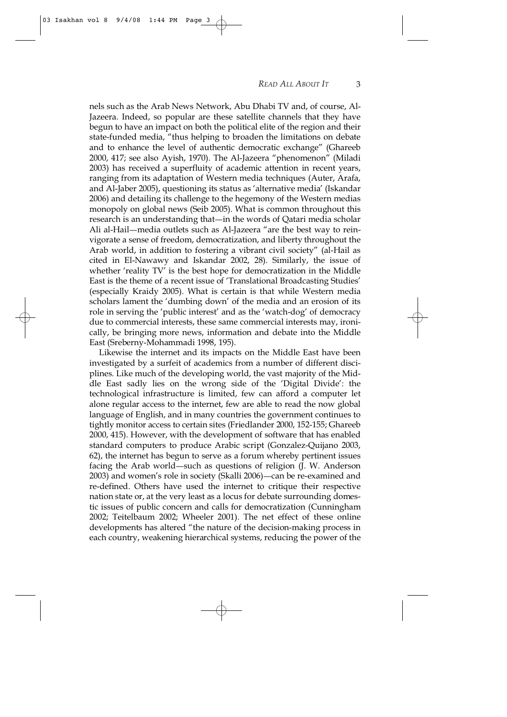nels such as the Arab News Network, Abu Dhabi TV and, of course, Al-Jazeera. Indeed, so popular are these satellite channels that they have begun to have an impact on both the political elite of the region and their state-funded media, "thus helping to broaden the limitations on debate and to enhance the level of authentic democratic exchange" (Ghareeb 2000, 417; see also Ayish, 1970). The Al-Jazeera "phenomenon" (Miladi 2003) has received a superfluity of academic attention in recent years, ranging from its adaptation of Western media techniques (Auter, Arafa, and Al-Jaber 2005), questioning its status as 'alternative media' (Iskandar 2006) and detailing its challenge to the hegemony of the Western medias monopoly on global news (Seib 2005). What is common throughout this research is an understanding that—in the words of Qatari media scholar Ali al-Hail—media outlets such as Al-Jazeera "are the best way to reinvigorate a sense of freedom, democratization, and liberty throughout the Arab world, in addition to fostering a vibrant civil society" (al-Hail as cited in El-Nawawy and Iskandar 2002, 28). Similarly, the issue of whether 'reality TV' is the best hope for democratization in the Middle East is the theme of a recent issue of 'Translational Broadcasting Studies' (especially Kraidy 2005). What is certain is that while Western media scholars lament the 'dumbing down' of the media and an erosion of its role in serving the 'public interest' and as the 'watch-dog' of democracy due to commercial interests, these same commercial interests may, ironically, be bringing more news, information and debate into the Middle East (Sreberny-Mohammadi 1998, 195).

Likewise the internet and its impacts on the Middle East have been investigated by a surfeit of academics from a number of different disciplines. Like much of the developing world, the vast majority of the Middle East sadly lies on the wrong side of the 'Digital Divide': the technological infrastructure is limited, few can afford a computer let alone regular access to the internet, few are able to read the now global language of English, and in many countries the government continues to tightly monitor access to certain sites (Friedlander 2000, 152-155; Ghareeb 2000, 415). However, with the development of software that has enabled standard computers to produce Arabic script (Gonzalez-Quijano 2003, 62), the internet has begun to serve as a forum whereby pertinent issues facing the Arab world—such as questions of religion (J. W. Anderson 2003) and women's role in society (Skalli 2006)—can be re-examined and re-defined. Others have used the internet to critique their respective nation state or, at the very least as a locus for debate surrounding domestic issues of public concern and calls for democratization (Cunningham 2002; Teitelbaum 2002; Wheeler 2001). The net effect of these online developments has altered "the nature of the decision-making process in each country, weakening hierarchical systems, reducing the power of the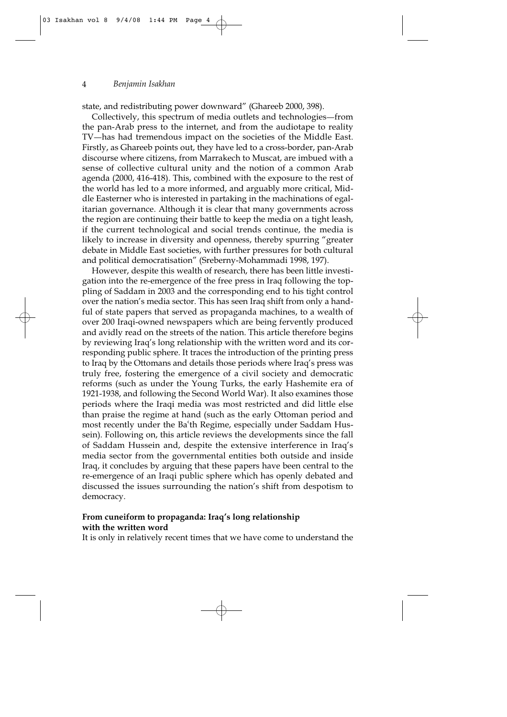state, and redistributing power downward" (Ghareeb 2000, 398).

Collectively, this spectrum of media outlets and technologies—from the pan-Arab press to the internet, and from the audiotape to reality TV-has had tremendous impact on the societies of the Middle East. Firstly, as Ghareeb points out, they have led to a cross-border, pan-Arab discourse where citizens, from Marrakech to Muscat, are imbued with a sense of collective cultural unity and the notion of a common Arab agenda (2000, 416-418). This, combined with the exposure to the rest of the world has led to a more informed, and arguably more critical, Middle Easterner who is interested in partaking in the machinations of egalitarian governance. Although it is clear that many governments across the region are continuing their battle to keep the media on a tight leash, if the current technological and social trends continue, the media is likely to increase in diversity and openness, thereby spurring "greater debate in Middle East societies, with further pressures for both cultural and political democratisation" (Sreberny-Mohammadi 1998, 197).

However, despite this wealth of research, there has been little investigation into the re-emergence of the free press in Iraq following the toppling of Saddam in 2003 and the corresponding end to his tight control over the nation's media sector. This has seen Iraq shift from only a handful of state papers that served as propaganda machines, to a wealth of over 200 Iraqi-owned newspapers which are being fervently produced and avidly read on the streets of the nation. This article therefore begins by reviewing Iraq's long relationship with the written word and its corresponding public sphere. It traces the introduction of the printing press to Iraq by the Ottomans and details those periods where Iraq's press was truly free, fostering the emergence of a civil society and democratic reforms (such as under the Young Turks, the early Hashemite era of 1921-1938, and following the Second World War). It also examines those periods where the Iraqi media was most restricted and did little else than praise the regime at hand (such as the early Ottoman period and most recently under the Ba'th Regime, especially under Saddam Hussein). Following on, this article reviews the developments since the fall of Saddam Hussein and, despite the extensive interference in Iraq's media sector from the governmental entities both outside and inside Iraq, it concludes by arguing that these papers have been central to the re-emergence of an Iraqi public sphere which has openly debated and discussed the issues surrounding the nation's shift from despotism to democracy.

## **From cuneiform to propaganda: Iraq's long relationship with the written word**

It is only in relatively recent times that we have come to understand the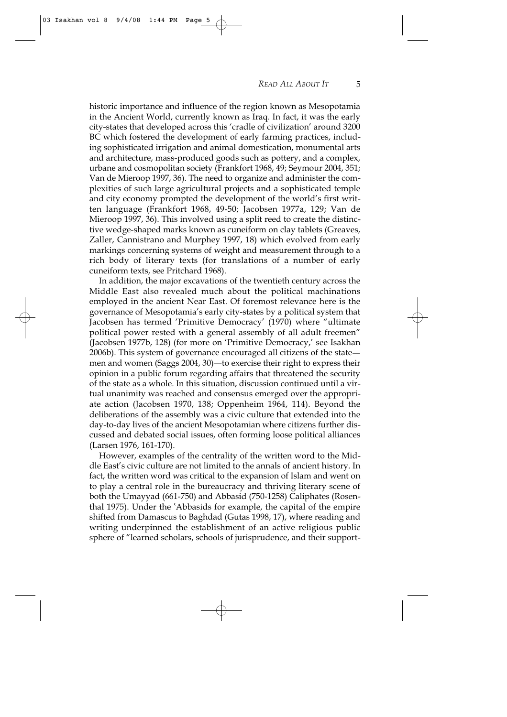historic importance and influence of the region known as Mesopotamia in the Ancient World, currently known as Iraq. In fact, it was the early city-states that developed across this 'cradle of civilization' around 3200 BC which fostered the development of early farming practices, including sophisticated irrigation and animal domestication, monumental arts and architecture, mass-produced goods such as pottery, and a complex, urbane and cosmopolitan society (Frankfort 1968, 49; Seymour 2004, 351; Van de Mieroop 1997, 36). The need to organize and administer the complexities of such large agricultural projects and a sophisticated temple and city economy prompted the development of the world's first written language (Frankfort 1968, 49-50; Jacobsen 1977a, 129; Van de Mieroop 1997, 36). This involved using a split reed to create the distinctive wedge-shaped marks known as cuneiform on clay tablets (Greaves, Zaller, Cannistrano and Murphey 1997, 18) which evolved from early markings concerning systems of weight and measurement through to a rich body of literary texts (for translations of a number of early cuneiform texts, see Pritchard 1968).

In addition, the major excavations of the twentieth century across the Middle East also revealed much about the political machinations employed in the ancient Near East. Of foremost relevance here is the governance of Mesopotamia's early city-states by a political system that Jacobsen has termed 'Primitive Democracy' (1970) where "ultimate political power rested with a general assembly of all adult freemen" (Jacobsen 1977b, 128) (for more on 'Primitive Democracy,' see Isakhan 2006b). This system of governance encouraged all citizens of the state men and women (Saggs 2004, 30)—to exercise their right to express their opinion in a public forum regarding affairs that threatened the security of the state as a whole. In this situation, discussion continued until a virtual unanimity was reached and consensus emerged over the appropriate action (Jacobsen 1970, 138; Oppenheim 1964, 114). Beyond the deliberations of the assembly was a civic culture that extended into the day-to-day lives of the ancient Mesopotamian where citizens further discussed and debated social issues, often forming loose political alliances (Larsen 1976, 161-170).

However, examples of the centrality of the written word to the Middle East's civic culture are not limited to the annals of ancient history. In fact, the written word was critical to the expansion of Islam and went on to play a central role in the bureaucracy and thriving literary scene of both the Umayyad (661-750) and Abbasid (750-1258) Caliphates (Rosenthal 1975). Under the 'Abbasids for example, the capital of the empire shifted from Damascus to Baghdad (Gutas 1998, 17), where reading and writing underpinned the establishment of an active religious public sphere of "learned scholars, schools of jurisprudence, and their support-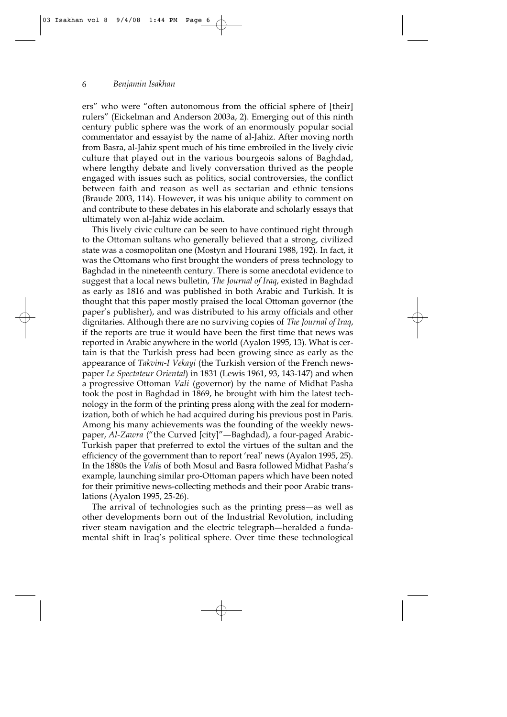ers" who were "often autonomous from the official sphere of [their] rulers" (Eickelman and Anderson 2003a, 2). Emerging out of this ninth century public sphere was the work of an enormously popular social commentator and essayist by the name of al-Jahiz. After moving north from Basra, al-Jahiz spent much of his time embroiled in the lively civic culture that played out in the various bourgeois salons of Baghdad, where lengthy debate and lively conversation thrived as the people engaged with issues such as politics, social controversies, the conflict between faith and reason as well as sectarian and ethnic tensions (Braude 2003, 114). However, it was his unique ability to comment on and contribute to these debates in his elaborate and scholarly essays that ultimately won al-Jahiz wide acclaim.

This lively civic culture can be seen to have continued right through to the Ottoman sultans who generally believed that a strong, civilized state was a cosmopolitan one (Mostyn and Hourani 1988, 192). In fact, it was the Ottomans who first brought the wonders of press technology to Baghdad in the nineteenth century. There is some anecdotal evidence to suggest that a local news bulletin, *The Journal of Iraq*, existed in Baghdad as early as 1816 and was published in both Arabic and Turkish. It is thought that this paper mostly praised the local Ottoman governor (the paper's publisher), and was distributed to his army officials and other dignitaries. Although there are no surviving copies of *The Journal of Iraq*, if the reports are true it would have been the first time that news was reported in Arabic anywhere in the world (Ayalon 1995, 13). What is certain is that the Turkish press had been growing since as early as the appearance of *Takvim-I Vekayi* (the Turkish version of the French newspaper *Le Spectateur Oriental*) in 1831 (Lewis 1961, 93, 143-147) and when a progressive Ottoman *Vali* (governor) by the name of Midhat Pasha took the post in Baghdad in 1869, he brought with him the latest technology in the form of the printing press along with the zeal for modernization, both of which he had acquired during his previous post in Paris. Among his many achievements was the founding of the weekly newspaper, Al-Zawra ("the Curved [city]"-Baghdad), a four-paged Arabic-Turkish paper that preferred to extol the virtues of the sultan and the efficiency of the government than to report 'real' news (Ayalon 1995, 25). In the 1880s the *Vali*s of both Mosul and Basra followed Midhat Pasha's example, launching similar pro-Ottoman papers which have been noted for their primitive news-collecting methods and their poor Arabic translations (Ayalon 1995, 25-26).

The arrival of technologies such as the printing press-as well as other developments born out of the Industrial Revolution, including river steam navigation and the electric telegraph—heralded a fundamental shift in Iraq's political sphere. Over time these technological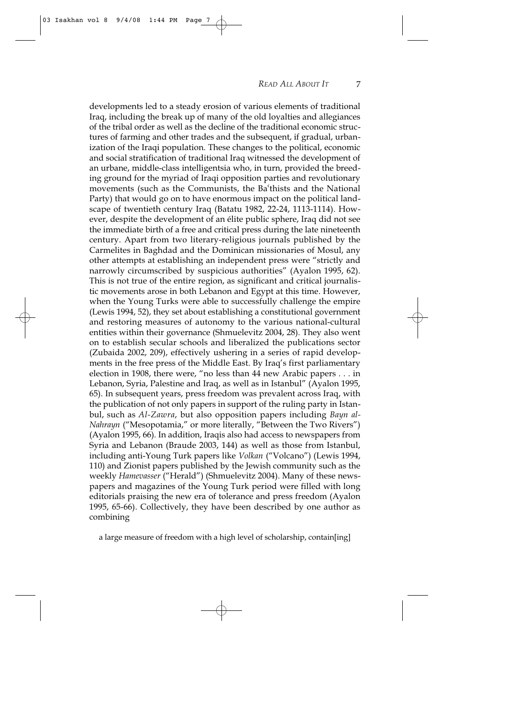developments led to a steady erosion of various elements of traditional Iraq, including the break up of many of the old loyalties and allegiances of the tribal order as well as the decline of the traditional economic structures of farming and other trades and the subsequent, if gradual, urbanization of the Iraqi population. These changes to the political, economic and social stratification of traditional Iraq witnessed the development of an urbane, middle-class intelligentsia who, in turn, provided the breeding ground for the myriad of Iraqi opposition parties and revolutionary movements (such as the Communists, the Ba'thists and the National Party) that would go on to have enormous impact on the political landscape of twentieth century Iraq (Batatu 1982, 22-24, 1113-1114). However, despite the development of an élite public sphere, Iraq did not see the immediate birth of a free and critical press during the late nineteenth century. Apart from two literary-religious journals published by the Carmelites in Baghdad and the Dominican missionaries of Mosul, any other attempts at establishing an independent press were "strictly and narrowly circumscribed by suspicious authorities" (Ayalon 1995, 62). This is not true of the entire region, as significant and critical journalistic movements arose in both Lebanon and Egypt at this time. However, when the Young Turks were able to successfully challenge the empire (Lewis 1994, 52), they set about establishing a constitutional government and restoring measures of autonomy to the various national-cultural entities within their governance (Shmuelevitz 2004, 28). They also went on to establish secular schools and liberalized the publications sector (Zubaida 2002, 209), effectively ushering in a series of rapid developments in the free press of the Middle East. By Iraq's first parliamentary election in 1908, there were, "no less than 44 new Arabic papers . . . in Lebanon, Syria, Palestine and Iraq, as well as in Istanbul" (Ayalon 1995, 65). In subsequent years, press freedom was prevalent across Iraq, with the publication of not only papers in support of the ruling party in Istanbul, such as *Al-Zawra*, but also opposition papers including *Bayn al-Nahrayn* ("Mesopotamia," or more literally, "Between the Two Rivers") (Ayalon 1995, 66). In addition, Iraqis also had access to newspapers from Syria and Lebanon (Braude 2003, 144) as well as those from Istanbul, including anti-Young Turk papers like *Volkan* ("Volcano") (Lewis 1994, 110) and Zionist papers published by the Jewish community such as the weekly *Hamevasser* ("Herald") (Shmuelevitz 2004). Many of these newspapers and magazines of the Young Turk period were filled with long editorials praising the new era of tolerance and press freedom (Ayalon 1995, 65-66). Collectively, they have been described by one author as combining

a large measure of freedom with a high level of scholarship, contain[ing]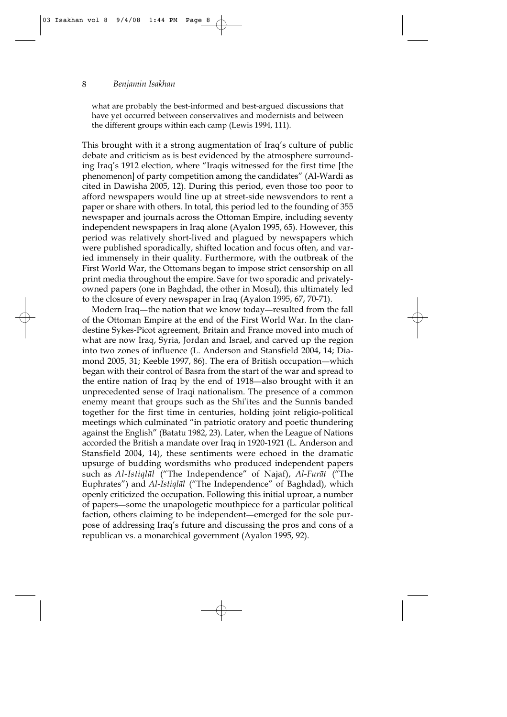what are probably the best-informed and best-argued discussions that have yet occurred between conservatives and modernists and between the different groups within each camp (Lewis 1994, 111).

This brought with it a strong augmentation of Iraq's culture of public debate and criticism as is best evidenced by the atmosphere surrounding Iraq's 1912 election, where "Iraqis witnessed for the first time [the phenomenon] of party competition among the candidates" (Al-Wardi as cited in Dawisha 2005, 12). During this period, even those too poor to afford newspapers would line up at street-side newsvendors to rent a paper or share with others. In total, this period led to the founding of 355 newspaper and journals across the Ottoman Empire, including seventy independent newspapers in Iraq alone (Ayalon 1995, 65). However, this period was relatively short-lived and plagued by newspapers which were published sporadically, shifted location and focus often, and varied immensely in their quality. Furthermore, with the outbreak of the First World War, the Ottomans began to impose strict censorship on all print media throughout the empire. Save for two sporadic and privatelyowned papers (one in Baghdad, the other in Mosul), this ultimately led to the closure of every newspaper in Iraq (Ayalon 1995, 67, 70-71).

Modern Iraq—the nation that we know today—resulted from the fall of the Ottoman Empire at the end of the First World War. In the clandestine Sykes-Picot agreement, Britain and France moved into much of what are now Iraq, Syria, Jordan and Israel, and carved up the region into two zones of influence (L. Anderson and Stansfield 2004, 14; Diamond 2005, 31; Keeble 1997, 86). The era of British occupation—which began with their control of Basra from the start of the war and spread to the entire nation of Iraq by the end of 1918—also brought with it an unprecedented sense of Iraqi nationalism. The presence of a common enemy meant that groups such as the Shi<sup>st</sup>ites and the Sunnis banded together for the first time in centuries, holding joint religio-political meetings which culminated "in patriotic oratory and poetic thundering against the English" (Batatu 1982, 23). Later, when the League of Nations accorded the British a mandate over Iraq in 1920-1921 (L. Anderson and Stansfield 2004, 14), these sentiments were echoed in the dramatic upsurge of budding wordsmiths who produced independent papers such as *Al-Istiqlāl* ("The Independence" of Najaf), *Al-Furāt* ("The Euphrates") and *Al-Istiqlāl* ("The Independence" of Baghdad), which openly criticized the occupation. Following this initial uproar, a number of papers—some the unapologetic mouthpiece for a particular political faction, others claiming to be independent—emerged for the sole purpose of addressing Iraq's future and discussing the pros and cons of a republican vs. a monarchical government (Ayalon 1995, 92).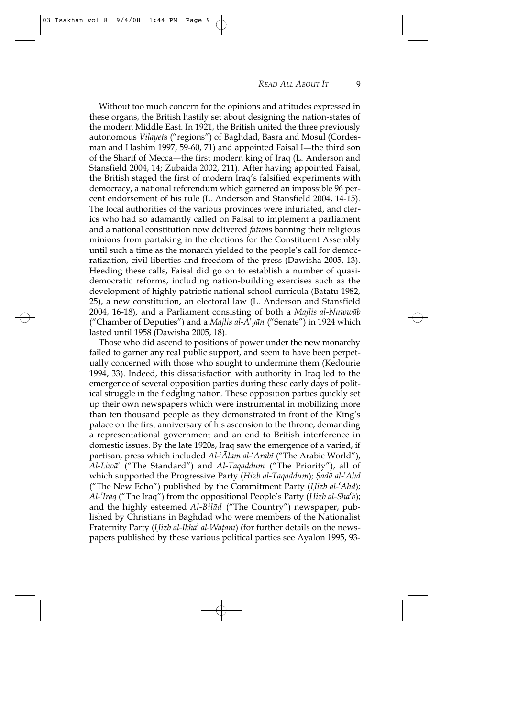Without too much concern for the opinions and attitudes expressed in these organs, the British hastily set about designing the nation-states of the modern Middle East. In 1921, the British united the three previously autonomous *Vilayet*s ("regions") of Baghdad, Basra and Mosul (Cordesman and Hashim 1997, 59-60, 71) and appointed Faisal I—the third son of the Sharif of Mecca—the first modern king of Iraq (L. Anderson and Stansfield 2004, 14; Zubaida 2002, 211). After having appointed Faisal, the British staged the first of modern Iraq's falsified experiments with democracy, a national referendum which garnered an impossible 96 percent endorsement of his rule (L. Anderson and Stansfield 2004, 14-15). The local authorities of the various provinces were infuriated, and clerics who had so adamantly called on Faisal to implement a parliament and a national constitution now delivered *fatwa*s banning their religious minions from partaking in the elections for the Constituent Assembly until such a time as the monarch yielded to the people's call for democratization, civil liberties and freedom of the press (Dawisha 2005, 13). Heeding these calls, Faisal did go on to establish a number of quasidemocratic reforms, including nation-building exercises such as the development of highly patriotic national school curricula (Batatu 1982, 25), a new constitution, an electoral law (L. Anderson and Stansfield 2004, 16-18), and a Parliament consisting of both a *Majlis al-Nuwwāb* ("Chamber of Deputies") and a *Majlis al-A†y§n* ("Senate") in 1924 which lasted until 1958 (Dawisha 2005, 18).

Those who did ascend to positions of power under the new monarchy failed to garner any real public support, and seem to have been perpetually concerned with those who sought to undermine them (Kedourie 1994, 33). Indeed, this dissatisfaction with authority in Iraq led to the emergence of several opposition parties during these early days of political struggle in the fledgling nation. These opposition parties quickly set up their own newspapers which were instrumental in mobilizing more than ten thousand people as they demonstrated in front of the King's palace on the first anniversary of his ascension to the throne, demanding a representational government and an end to British interference in domestic issues. By the late 1920s, Iraq saw the emergence of a varied, if partisan, press which included *Al-'Alam al-'Arabi* ("The Arabic World"), *Al-Liw§¥* ("The Standard") and *Al-Taqaddum* ("The Priority"), all of which supported the Progressive Party (*Hizb al-Taqaddum*); *Şadā al-'Ahd* ("The New Echo") published by the Commitment Party (*⁄izb al-†Ahd*); *Al-†Ir§q* ("The Iraq") from the oppositional People's Party (*⁄izb al-Sha†b*); and the highly esteemed *Al-Bilād* ("The Country") newspaper, published by Christians in Baghdad who were members of the Nationalist Fraternity Party (*Hizb al-Ikha<sup>†</sup> al-Watani*) (for further details on the newspapers published by these various political parties see Ayalon 1995, 93-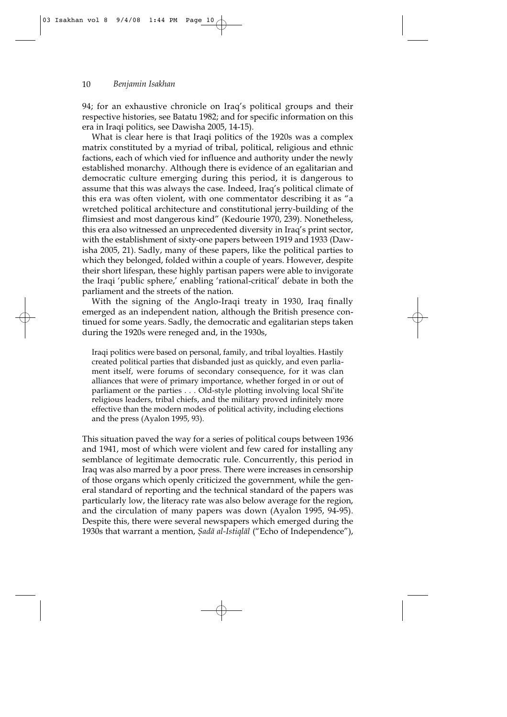94; for an exhaustive chronicle on Iraq's political groups and their respective histories, see Batatu 1982; and for specific information on this era in Iraqi politics, see Dawisha 2005, 14-15).

What is clear here is that Iraqi politics of the 1920s was a complex matrix constituted by a myriad of tribal, political, religious and ethnic factions, each of which vied for influence and authority under the newly established monarchy. Although there is evidence of an egalitarian and democratic culture emerging during this period, it is dangerous to assume that this was always the case. Indeed, Iraq's political climate of this era was often violent, with one commentator describing it as "a wretched political architecture and constitutional jerry-building of the flimsiest and most dangerous kind" (Kedourie 1970, 239). Nonetheless, this era also witnessed an unprecedented diversity in Iraq's print sector, with the establishment of sixty-one papers between 1919 and 1933 (Dawisha 2005, 21). Sadly, many of these papers, like the political parties to which they belonged, folded within a couple of years. However, despite their short lifespan, these highly partisan papers were able to invigorate the Iraqi 'public sphere,' enabling 'rational-critical' debate in both the parliament and the streets of the nation.

With the signing of the Anglo-Iraqi treaty in 1930, Iraq finally emerged as an independent nation, although the British presence continued for some years. Sadly, the democratic and egalitarian steps taken during the 1920s were reneged and, in the 1930s,

Iraqi politics were based on personal, family, and tribal loyalties. Hastily created political parties that disbanded just as quickly, and even parliament itself, were forums of secondary consequence, for it was clan alliances that were of primary importance, whether forged in or out of parliament or the parties . . . Old-style plotting involving local Shi†ite religious leaders, tribal chiefs, and the military proved infinitely more effective than the modern modes of political activity, including elections and the press (Ayalon 1995, 93).

This situation paved the way for a series of political coups between 1936 and 1941, most of which were violent and few cared for installing any semblance of legitimate democratic rule. Concurrently, this period in Iraq was also marred by a poor press. There were increases in censorship of those organs which openly criticized the government, while the general standard of reporting and the technical standard of the papers was particularly low, the literacy rate was also below average for the region, and the circulation of many papers was down (Ayalon 1995, 94-95). Despite this, there were several newspapers which emerged during the 1930s that warrant a mention, *Şadā al-Istiqlāl* ("Echo of Independence"),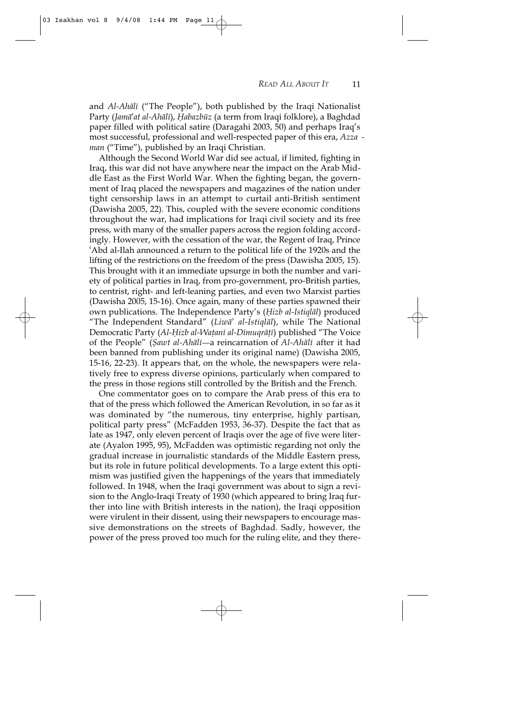and *Al-Ahālī* ("The People"), both published by the Iraqi Nationalist Party (*Jamā<sup>ć</sup>at al-Ahālī*), *Habazbūz* (a term from Iraqi folklore), a Baghdad paper filled with political satire (Daragahi 2003, 50) and perhaps Iraq's most successful, professional and well-respected paper of this era, *Azza man* ("Time"), published by an Iraqi Christian.

Although the Second World War did see actual, if limited, fighting in Iraq, this war did not have anywhere near the impact on the Arab Middle East as the First World War. When the fighting began, the government of Iraq placed the newspapers and magazines of the nation under tight censorship laws in an attempt to curtail anti-British sentiment (Dawisha 2005, 22). This, coupled with the severe economic conditions throughout the war, had implications for Iraqi civil society and its free press, with many of the smaller papers across the region folding accordingly. However, with the cessation of the war, the Regent of Iraq, Prince †Abd al-Ilah announced a return to the political life of the 1920s and the lifting of the restrictions on the freedom of the press (Dawisha 2005, 15). This brought with it an immediate upsurge in both the number and variety of political parties in Iraq, from pro-government, pro-British parties, to centrist, right- and left-leaning parties, and even two Marxist parties (Dawisha 2005, 15-16). Once again, many of these parties spawned their own publications. The Independence Party's (*⁄izb al-Istiql§l*) produced "The Independent Standard" (*Liw§¥ al-Istiql§l*), while The National Democratic Party (*Al-Hizb al-Waṭanī al-Dīmuqrāṭī*) published "The Voice of the People" (*Şawt al-Ahālī*—a reincarnation of *Al-Ahālī* after it had been banned from publishing under its original name) (Dawisha 2005, 15-16, 22-23). It appears that, on the whole, the newspapers were relatively free to express diverse opinions, particularly when compared to the press in those regions still controlled by the British and the French.

One commentator goes on to compare the Arab press of this era to that of the press which followed the American Revolution, in so far as it was dominated by "the numerous, tiny enterprise, highly partisan, political party press" (McFadden 1953, 36-37). Despite the fact that as late as 1947, only eleven percent of Iraqis over the age of five were literate (Ayalon 1995, 95), McFadden was optimistic regarding not only the gradual increase in journalistic standards of the Middle Eastern press, but its role in future political developments. To a large extent this optimism was justified given the happenings of the years that immediately followed. In 1948, when the Iraqi government was about to sign a revision to the Anglo-Iraqi Treaty of 1930 (which appeared to bring Iraq further into line with British interests in the nation), the Iraqi opposition were virulent in their dissent, using their newspapers to encourage massive demonstrations on the streets of Baghdad. Sadly, however, the power of the press proved too much for the ruling elite, and they there-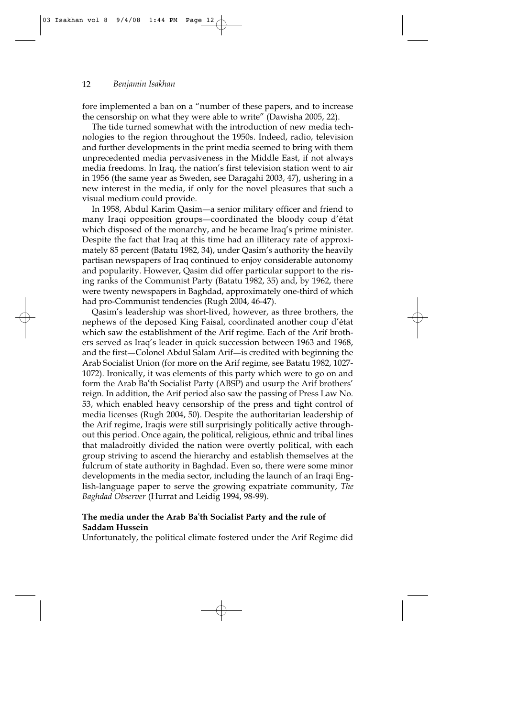fore implemented a ban on a "number of these papers, and to increase the censorship on what they were able to write" (Dawisha 2005, 22).

The tide turned somewhat with the introduction of new media technologies to the region throughout the 1950s. Indeed, radio, television and further developments in the print media seemed to bring with them unprecedented media pervasiveness in the Middle East, if not always media freedoms. In Iraq, the nation's first television station went to air in 1956 (the same year as Sweden, see Daragahi 2003, 47), ushering in a new interest in the media, if only for the novel pleasures that such a visual medium could provide.

In 1958, Abdul Karim Qasim—a senior military officer and friend to many Iraqi opposition groups—coordinated the bloody coup d'état which disposed of the monarchy, and he became Iraq's prime minister. Despite the fact that Iraq at this time had an illiteracy rate of approximately 85 percent (Batatu 1982, 34), under Qasim's authority the heavily partisan newspapers of Iraq continued to enjoy considerable autonomy and popularity. However, Qasim did offer particular support to the rising ranks of the Communist Party (Batatu 1982, 35) and, by 1962, there were twenty newspapers in Baghdad, approximately one-third of which had pro-Communist tendencies (Rugh 2004, 46-47).

Qasim's leadership was short-lived, however, as three brothers, the nephews of the deposed King Faisal, coordinated another coup d'état which saw the establishment of the Arif regime. Each of the Arif brothers served as Iraq's leader in quick succession between 1963 and 1968, and the first—Colonel Abdul Salam Arif—is credited with beginning the Arab Socialist Union (for more on the Arif regime, see Batatu 1982, 1027- 1072). Ironically, it was elements of this party which were to go on and form the Arab Ba'th Socialist Party (ABSP) and usurp the Arif brothers' reign. In addition, the Arif period also saw the passing of Press Law No. 53, which enabled heavy censorship of the press and tight control of media licenses (Rugh 2004, 50). Despite the authoritarian leadership of the Arif regime, Iraqis were still surprisingly politically active throughout this period. Once again, the political, religious, ethnic and tribal lines that maladroitly divided the nation were overtly political, with each group striving to ascend the hierarchy and establish themselves at the fulcrum of state authority in Baghdad. Even so, there were some minor developments in the media sector, including the launch of an Iraqi English-language paper to serve the growing expatriate community, *The Baghdad Observer* (Hurrat and Leidig 1994, 98-99).

## The media under the Arab Ba'th Socialist Party and the rule of **Saddam Hussein**

Unfortunately, the political climate fostered under the Arif Regime did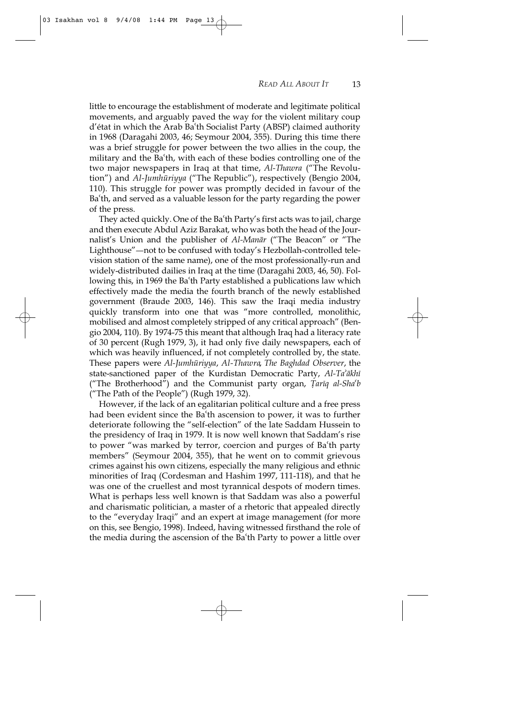little to encourage the establishment of moderate and legitimate political movements, and arguably paved the way for the violent military coup d'état in which the Arab Ba†th Socialist Party (ABSP) claimed authority in 1968 (Daragahi 2003, 46; Seymour 2004, 355). During this time there was a brief struggle for power between the two allies in the coup, the military and the Ba<sup>th</sup>, with each of these bodies controlling one of the two major newspapers in Iraq at that time, *Al-Thawra* ("The Revolution") and *Al-Jumhūriyya* ("The Republic"), respectively (Bengio 2004, 110). This struggle for power was promptly decided in favour of the Ba†th, and served as a valuable lesson for the party regarding the power of the press.

They acted quickly. One of the Ba'th Party's first acts was to jail, charge and then execute Abdul Aziz Barakat, who was both the head of the Journalist's Union and the publisher of *Al-Manār* ("The Beacon" or "The Lighthouse"—not to be confused with today's Hezbollah-controlled television station of the same name), one of the most professionally-run and widely-distributed dailies in Iraq at the time (Daragahi 2003, 46, 50). Following this, in 1969 the Ba<sup>th</sup> Party established a publications law which effectively made the media the fourth branch of the newly established government (Braude 2003, 146). This saw the Iraqi media industry quickly transform into one that was "more controlled, monolithic, mobilised and almost completely stripped of any critical approach" (Bengio 2004, 110). By 1974-75 this meant that although Iraq had a literacy rate of 30 percent (Rugh 1979, 3), it had only five daily newspapers, each of which was heavily influenced, if not completely controlled by, the state. These papers were *Al-Jumhūriyya, Al-Thawra, The Baghdad Observer*, the state-sanctioned paper of the Kurdistan Democratic Party, Al-Ta'ākhī ("The Brotherhood") and the Communist party organ, *Țariq al-Sha<sup>c</sup>b* ("The Path of the People") (Rugh 1979, 32).

However, if the lack of an egalitarian political culture and a free press had been evident since the Ba<sup>th</sup> ascension to power, it was to further deteriorate following the "self-election" of the late Saddam Hussein to the presidency of Iraq in 1979. It is now well known that Saddam's rise to power "was marked by terror, coercion and purges of Ba†th party members" (Seymour 2004, 355), that he went on to commit grievous crimes against his own citizens, especially the many religious and ethnic minorities of Iraq (Cordesman and Hashim 1997, 111-118), and that he was one of the cruellest and most tyrannical despots of modern times. What is perhaps less well known is that Saddam was also a powerful and charismatic politician, a master of a rhetoric that appealed directly to the "everyday Iraqi" and an expert at image management (for more on this, see Bengio, 1998). Indeed, having witnessed firsthand the role of the media during the ascension of the Ba†th Party to power a little over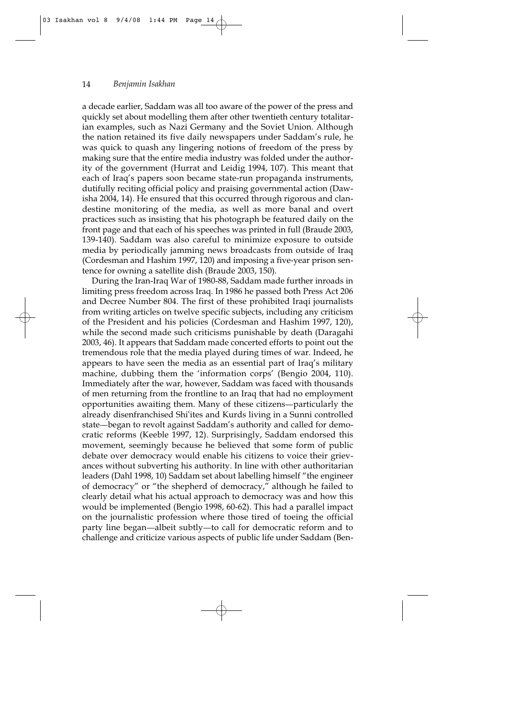a decade earlier, Saddam was all too aware of the power of the press and quickly set about modelling them after other twentieth century totalitarian examples, such as Nazi Germany and the Soviet Union. Although the nation retained its five daily newspapers under Saddam's rule, he was quick to quash any lingering notions of freedom of the press by making sure that the entire media industry was folded under the authority of the government (Hurrat and Leidig 1994, 107). This meant that each of Iraq's papers soon became state-run propaganda instruments, dutifully reciting official policy and praising governmental action (Dawisha 2004, 14). He ensured that this occurred through rigorous and clandestine monitoring of the media, as well as more banal and overt practices such as insisting that his photograph be featured daily on the front page and that each of his speeches was printed in full (Braude 2003, 139-140). Saddam was also careful to minimize exposure to outside media by periodically jamming news broadcasts from outside of Iraq (Cordesman and Hashim 1997, 120) and imposing a five-year prison sentence for owning a satellite dish (Braude 2003, 150).

During the Iran-Iraq War of 1980-88, Saddam made further inroads in limiting press freedom across Iraq. In 1986 he passed both Press Act 206 and Decree Number 804. The first of these prohibited Iraqi journalists from writing articles on twelve specific subjects, including any criticism of the President and his policies (Cordesman and Hashim 1997, 120), while the second made such criticisms punishable by death (Daragahi 2003, 46). It appears that Saddam made concerted efforts to point out the tremendous role that the media played during times of war. Indeed, he appears to have seen the media as an essential part of Iraq's military machine, dubbing them the 'information corps' (Bengio 2004, 110). Immediately after the war, however, Saddam was faced with thousands of men returning from the frontline to an Iraq that had no employment opportunities awaiting them. Many of these citizens-particularly the already disenfranchised Shi†ites and Kurds living in a Sunni controlled state—began to revolt against Saddam's authority and called for democratic reforms (Keeble 1997, 12). Surprisingly, Saddam endorsed this movement, seemingly because he believed that some form of public debate over democracy would enable his citizens to voice their grievances without subverting his authority. In line with other authoritarian leaders (Dahl 1998, 10) Saddam set about labelling himself "the engineer of democracy" or "the shepherd of democracy," although he failed to clearly detail what his actual approach to democracy was and how this would be implemented (Bengio 1998, 60-62). This had a parallel impact on the journalistic profession where those tired of toeing the official party line began—albeit subtly—to call for democratic reform and to challenge and criticize various aspects of public life under Saddam (Ben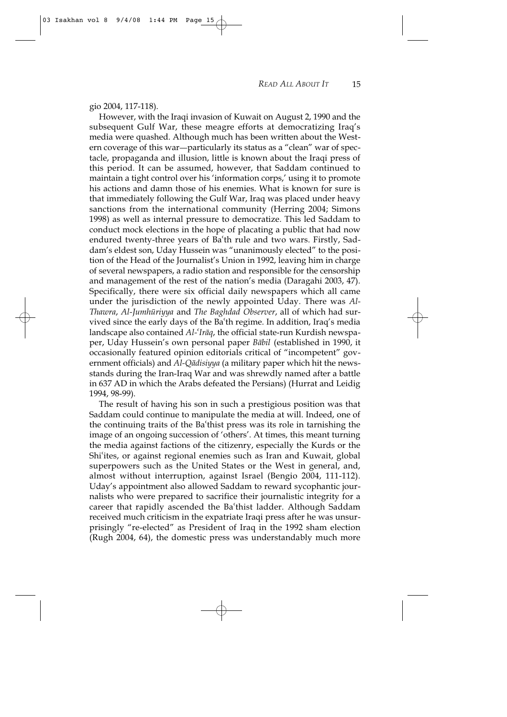03 Isakhan vol 8 9/4/08 1:44 PM Page 15

However, with the Iraqi invasion of Kuwait on August 2, 1990 and the subsequent Gulf War, these meagre efforts at democratizing Iraq's media were quashed. Although much has been written about the Western coverage of this war-particularly its status as a "clean" war of spectacle, propaganda and illusion, little is known about the Iraqi press of this period. It can be assumed, however, that Saddam continued to maintain a tight control over his 'information corps,' using it to promote his actions and damn those of his enemies. What is known for sure is that immediately following the Gulf War, Iraq was placed under heavy sanctions from the international community (Herring 2004; Simons 1998) as well as internal pressure to democratize. This led Saddam to conduct mock elections in the hope of placating a public that had now endured twenty-three years of Ba'th rule and two wars. Firstly, Saddam's eldest son, Uday Hussein was "unanimously elected" to the position of the Head of the Journalist's Union in 1992, leaving him in charge of several newspapers, a radio station and responsible for the censorship and management of the rest of the nation's media (Daragahi 2003, 47). Specifically, there were six official daily newspapers which all came under the jurisdiction of the newly appointed Uday. There was *Al-Thawra, Al-Jumhūriyya* and *The Baghdad Observer*, all of which had survived since the early days of the Ba†th regime. In addition, Iraq's media landscape also contained *Al-<sup>c</sup>Irāq*, the official state-run Kurdish newspaper, Uday Hussein's own personal paper *Bābil* (established in 1990, it occasionally featured opinion editorials critical of "incompetent" government officials) and *Al-Qādisiyya* (a military paper which hit the newsstands during the Iran-Iraq War and was shrewdly named after a battle in 637 AD in which the Arabs defeated the Persians) (Hurrat and Leidig 1994, 98-99).

The result of having his son in such a prestigious position was that Saddam could continue to manipulate the media at will. Indeed, one of the continuing traits of the Ba'thist press was its role in tarnishing the image of an ongoing succession of 'others'. At times, this meant turning the media against factions of the citizenry, especially the Kurds or the Shi†ites, or against regional enemies such as Iran and Kuwait, global superpowers such as the United States or the West in general, and, almost without interruption, against Israel (Bengio 2004, 111-112). Uday's appointment also allowed Saddam to reward sycophantic journalists who were prepared to sacrifice their journalistic integrity for a career that rapidly ascended the Ba'thist ladder. Although Saddam received much criticism in the expatriate Iraqi press after he was unsurprisingly "re-elected" as President of Iraq in the 1992 sham election (Rugh 2004, 64), the domestic press was understandably much more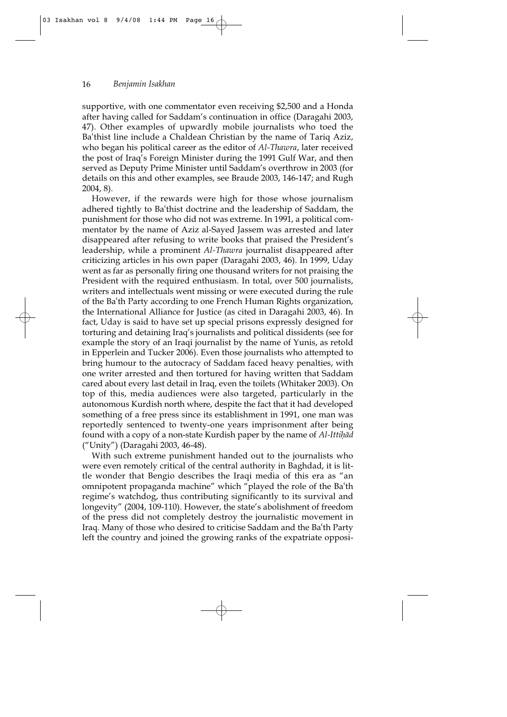supportive, with one commentator even receiving \$2,500 and a Honda after having called for Saddam's continuation in office (Daragahi 2003, 47). Other examples of upwardly mobile journalists who toed the Ba'thist line include a Chaldean Christian by the name of Tariq Aziz, who began his political career as the editor of *Al-Thawra*, later received the post of Iraq's Foreign Minister during the 1991 Gulf War, and then served as Deputy Prime Minister until Saddam's overthrow in 2003 (for details on this and other examples, see Braude 2003, 146-147; and Rugh 2004, 8).

However, if the rewards were high for those whose journalism adhered tightly to Ba'thist doctrine and the leadership of Saddam, the punishment for those who did not was extreme. In 1991, a political commentator by the name of Aziz al-Sayed Jassem was arrested and later disappeared after refusing to write books that praised the President's leadership, while a prominent *Al-Thawra* journalist disappeared after criticizing articles in his own paper (Daragahi 2003, 46). In 1999, Uday went as far as personally firing one thousand writers for not praising the President with the required enthusiasm. In total, over 500 journalists, writers and intellectuals went missing or were executed during the rule of the Ba'th Party according to one French Human Rights organization, the International Alliance for Justice (as cited in Daragahi 2003, 46). In fact, Uday is said to have set up special prisons expressly designed for torturing and detaining Iraq's journalists and political dissidents (see for example the story of an Iraqi journalist by the name of Yunis, as retold in Epperlein and Tucker 2006). Even those journalists who attempted to bring humour to the autocracy of Saddam faced heavy penalties, with one writer arrested and then tortured for having written that Saddam cared about every last detail in Iraq, even the toilets (Whitaker 2003). On top of this, media audiences were also targeted, particularly in the autonomous Kurdish north where, despite the fact that it had developed something of a free press since its establishment in 1991, one man was reportedly sentenced to twenty-one years imprisonment after being found with a copy of a non-state Kurdish paper by the name of *Al-Ittih*ad ("Unity") (Daragahi 2003, 46-48).

With such extreme punishment handed out to the journalists who were even remotely critical of the central authority in Baghdad, it is little wonder that Bengio describes the Iraqi media of this era as "an omnipotent propaganda machine" which "played the role of the Ba†th regime's watchdog, thus contributing significantly to its survival and longevity" (2004, 109-110). However, the state's abolishment of freedom of the press did not completely destroy the journalistic movement in Iraq. Many of those who desired to criticise Saddam and the Ba'th Party left the country and joined the growing ranks of the expatriate opposi-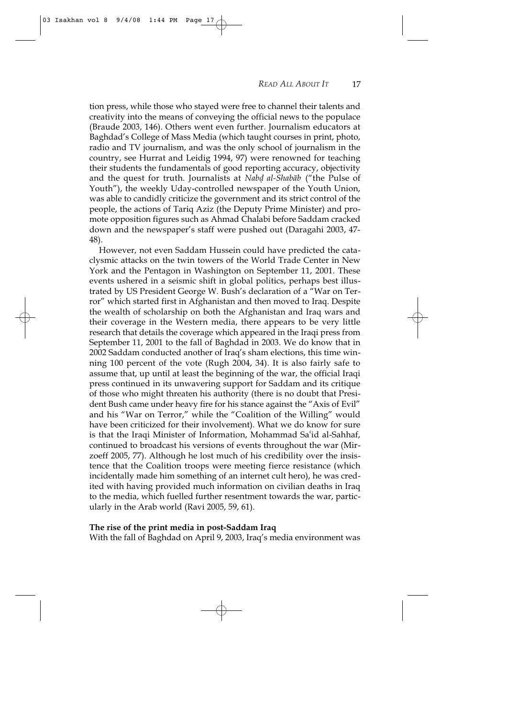tion press, while those who stayed were free to channel their talents and creativity into the means of conveying the official news to the populace (Braude 2003, 146). Others went even further. Journalism educators at Baghdad's College of Mass Media (which taught courses in print, photo, radio and TV journalism, and was the only school of journalism in the country, see Hurrat and Leidig 1994, 97) were renowned for teaching their students the fundamentals of good reporting accuracy, objectivity and the quest for truth. Journalists at *Nabd al-Shabab* ("the Pulse of Youth"), the weekly Uday-controlled newspaper of the Youth Union, was able to candidly criticize the government and its strict control of the people, the actions of Tariq Aziz (the Deputy Prime Minister) and promote opposition figures such as Ahmad Chalabi before Saddam cracked down and the newspaper's staff were pushed out (Daragahi 2003, 47- 48).

However, not even Saddam Hussein could have predicted the cataclysmic attacks on the twin towers of the World Trade Center in New York and the Pentagon in Washington on September 11, 2001. These events ushered in a seismic shift in global politics, perhaps best illustrated by US President George W. Bush's declaration of a "War on Terror" which started first in Afghanistan and then moved to Iraq. Despite the wealth of scholarship on both the Afghanistan and Iraq wars and their coverage in the Western media, there appears to be very little research that details the coverage which appeared in the Iraqi press from September 11, 2001 to the fall of Baghdad in 2003. We do know that in 2002 Saddam conducted another of Iraq's sham elections, this time winning 100 percent of the vote (Rugh 2004, 34). It is also fairly safe to assume that, up until at least the beginning of the war, the official Iraqi press continued in its unwavering support for Saddam and its critique of those who might threaten his authority (there is no doubt that President Bush came under heavy fire for his stance against the "Axis of Evil" and his "War on Terror," while the "Coalition of the Willing" would have been criticized for their involvement). What we do know for sure is that the Iraqi Minister of Information, Mohammad Sa†id al-Sahhaf, continued to broadcast his versions of events throughout the war (Mirzoeff 2005, 77). Although he lost much of his credibility over the insistence that the Coalition troops were meeting fierce resistance (which incidentally made him something of an internet cult hero), he was credited with having provided much information on civilian deaths in Iraq to the media, which fuelled further resentment towards the war, particularly in the Arab world (Ravi 2005, 59, 61).

#### **The rise of the print media in post-Saddam Iraq**

With the fall of Baghdad on April 9, 2003, Iraq's media environment was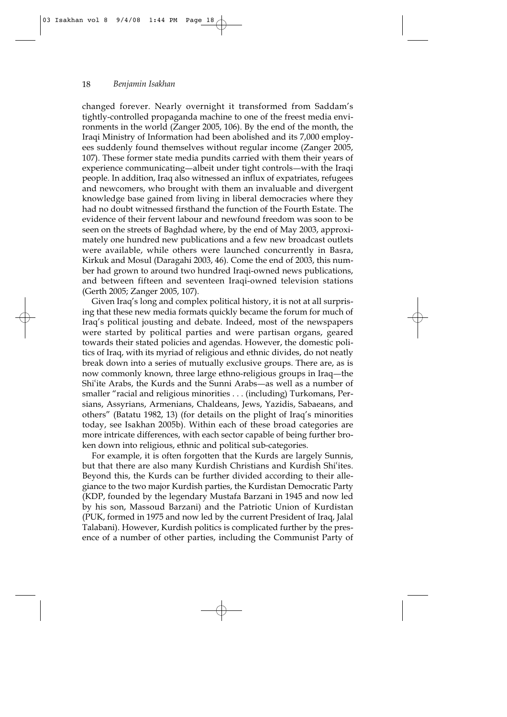changed forever. Nearly overnight it transformed from Saddam's tightly-controlled propaganda machine to one of the freest media environments in the world (Zanger 2005, 106). By the end of the month, the Iraqi Ministry of Information had been abolished and its 7,000 employees suddenly found themselves without regular income (Zanger 2005, 107). These former state media pundits carried with them their years of experience communicating—albeit under tight controls—with the Iraqi people. In addition, Iraq also witnessed an influx of expatriates, refugees and newcomers, who brought with them an invaluable and divergent knowledge base gained from living in liberal democracies where they had no doubt witnessed firsthand the function of the Fourth Estate. The evidence of their fervent labour and newfound freedom was soon to be seen on the streets of Baghdad where, by the end of May 2003, approximately one hundred new publications and a few new broadcast outlets were available, while others were launched concurrently in Basra, Kirkuk and Mosul (Daragahi 2003, 46). Come the end of 2003, this number had grown to around two hundred Iraqi-owned news publications, and between fifteen and seventeen Iraqi-owned television stations (Gerth 2005; Zanger 2005, 107).

Given Iraq's long and complex political history, it is not at all surprising that these new media formats quickly became the forum for much of Iraq's political jousting and debate. Indeed, most of the newspapers were started by political parties and were partisan organs, geared towards their stated policies and agendas. However, the domestic politics of Iraq, with its myriad of religious and ethnic divides, do not neatly break down into a series of mutually exclusive groups. There are, as is now commonly known, three large ethno-religious groups in Iraq—the Shi'ite Arabs, the Kurds and the Sunni Arabs—as well as a number of smaller "racial and religious minorities . . . (including) Turkomans, Persians, Assyrians, Armenians, Chaldeans, Jews, Yazidis, Sabaeans, and others" (Batatu 1982, 13) (for details on the plight of Iraq's minorities today, see Isakhan 2005b). Within each of these broad categories are more intricate differences, with each sector capable of being further broken down into religious, ethnic and political sub-categories.

For example, it is often forgotten that the Kurds are largely Sunnis, but that there are also many Kurdish Christians and Kurdish Shi†ites. Beyond this, the Kurds can be further divided according to their allegiance to the two major Kurdish parties, the Kurdistan Democratic Party (KDP, founded by the legendary Mustafa Barzani in 1945 and now led by his son, Massoud Barzani) and the Patriotic Union of Kurdistan (PUK, formed in 1975 and now led by the current President of Iraq, Jalal Talabani). However, Kurdish politics is complicated further by the presence of a number of other parties, including the Communist Party of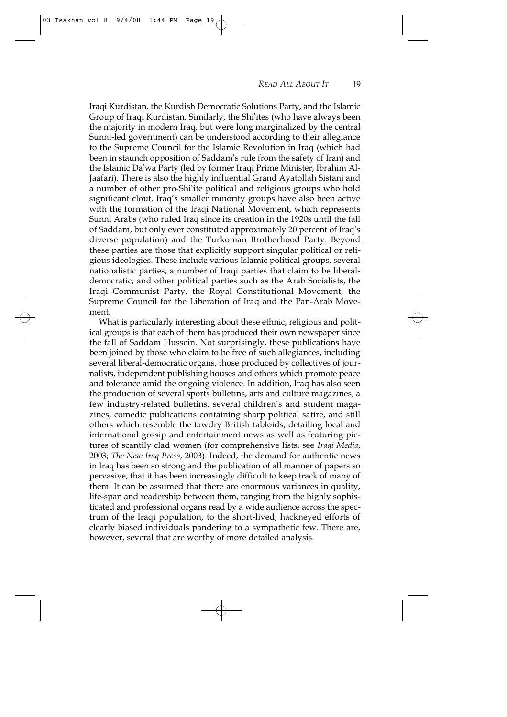Iraqi Kurdistan, the Kurdish Democratic Solutions Party, and the Islamic Group of Iraqi Kurdistan. Similarly, the Shi†ites (who have always been the majority in modern Iraq, but were long marginalized by the central Sunni-led government) can be understood according to their allegiance to the Supreme Council for the Islamic Revolution in Iraq (which had been in staunch opposition of Saddam's rule from the safety of Iran) and the Islamic Da†wa Party (led by former Iraqi Prime Minister, Ibrahim Al-Jaafari). There is also the highly influential Grand Ayatollah Sistani and a number of other pro-Shi†ite political and religious groups who hold significant clout. Iraq's smaller minority groups have also been active with the formation of the Iraqi National Movement, which represents Sunni Arabs (who ruled Iraq since its creation in the 1920s until the fall of Saddam, but only ever constituted approximately 20 percent of Iraq's diverse population) and the Turkoman Brotherhood Party. Beyond these parties are those that explicitly support singular political or religious ideologies. These include various Islamic political groups, several nationalistic parties, a number of Iraqi parties that claim to be liberaldemocratic, and other political parties such as the Arab Socialists, the Iraqi Communist Party, the Royal Constitutional Movement, the Supreme Council for the Liberation of Iraq and the Pan-Arab Movement.

What is particularly interesting about these ethnic, religious and political groups is that each of them has produced their own newspaper since the fall of Saddam Hussein. Not surprisingly, these publications have been joined by those who claim to be free of such allegiances, including several liberal-democratic organs, those produced by collectives of journalists, independent publishing houses and others which promote peace and tolerance amid the ongoing violence. In addition, Iraq has also seen the production of several sports bulletins, arts and culture magazines, a few industry-related bulletins, several children's and student magazines, comedic publications containing sharp political satire, and still others which resemble the tawdry British tabloids, detailing local and international gossip and entertainment news as well as featuring pictures of scantily clad women (for comprehensive lists, see *Iraqi Media*, 2003; *The New Iraq Press*, 2003). Indeed, the demand for authentic news in Iraq has been so strong and the publication of all manner of papers so pervasive, that it has been increasingly difficult to keep track of many of them. It can be assumed that there are enormous variances in quality, life-span and readership between them, ranging from the highly sophisticated and professional organs read by a wide audience across the spectrum of the Iraqi population, to the short-lived, hackneyed efforts of clearly biased individuals pandering to a sympathetic few. There are, however, several that are worthy of more detailed analysis.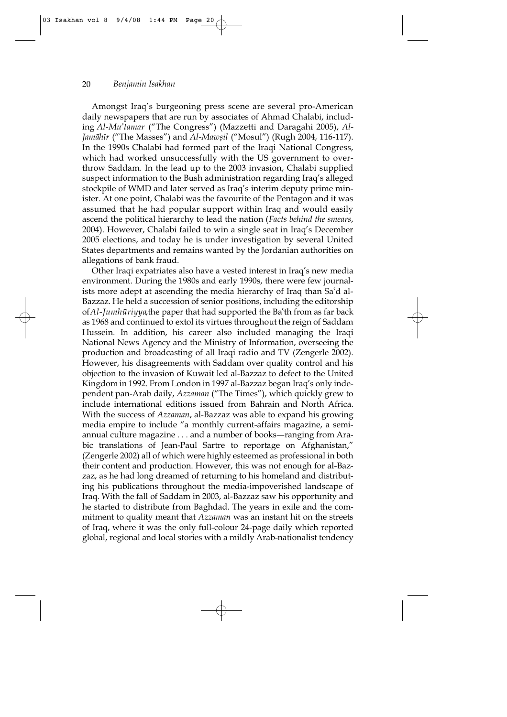Amongst Iraq's burgeoning press scene are several pro-American daily newspapers that are run by associates of Ahmad Chalabi, including *Al-Mu'tamar* ("The Congress") (Mazzetti and Daragahi 2005), *Al-*Jamāhīr ("The Masses") and *Al-Mawsil* ("Mosul") (Rugh 2004, 116-117). In the 1990s Chalabi had formed part of the Iraqi National Congress, which had worked unsuccessfully with the US government to overthrow Saddam. In the lead up to the 2003 invasion, Chalabi supplied suspect information to the Bush administration regarding Iraq's alleged stockpile of WMD and later served as Iraq's interim deputy prime minister. At one point, Chalabi was the favourite of the Pentagon and it was assumed that he had popular support within Iraq and would easily ascend the political hierarchy to lead the nation (*Facts behind the smears*, 2004). However, Chalabi failed to win a single seat in Iraq's December 2005 elections, and today he is under investigation by several United States departments and remains wanted by the Jordanian authorities on allegations of bank fraud.

Other Iraqi expatriates also have a vested interest in Iraq's new media environment. During the 1980s and early 1990s, there were few journalists more adept at ascending the media hierarchy of Iraq than Sa†d al-Bazzaz. He held a succession of senior positions, including the editorship of *Al-Jumhūriyya*, the paper that had supported the Ba<sup>th</sup> from as far back as 1968 and continued to extol its virtues throughout the reign of Saddam Hussein. In addition, his career also included managing the Iraqi National News Agency and the Ministry of Information, overseeing the production and broadcasting of all Iraqi radio and TV (Zengerle 2002). However, his disagreements with Saddam over quality control and his objection to the invasion of Kuwait led al-Bazzaz to defect to the United Kingdom in 1992. From London in 1997 al-Bazzaz began Iraq's only independent pan-Arab daily, *Azzaman* ("The Times"), which quickly grew to include international editions issued from Bahrain and North Africa. With the success of *Azzaman*, al-Bazzaz was able to expand his growing media empire to include "a monthly current-affairs magazine, a semiannual culture magazine . . . and a number of books—ranging from Arabic translations of Jean-Paul Sartre to reportage on Afghanistan," (Zengerle 2002) all of which were highly esteemed as professional in both their content and production. However, this was not enough for al-Bazzaz, as he had long dreamed of returning to his homeland and distributing his publications throughout the media-impoverished landscape of Iraq. With the fall of Saddam in 2003, al-Bazzaz saw his opportunity and he started to distribute from Baghdad. The years in exile and the commitment to quality meant that *Azzaman* was an instant hit on the streets of Iraq, where it was the only full-colour 24-page daily which reported global, regional and local stories with a mildly Arab-nationalist tendency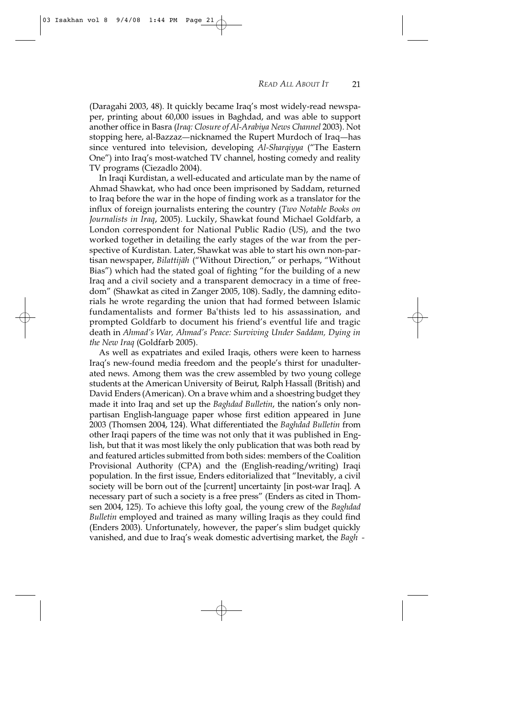(Daragahi 2003, 48). It quickly became Iraq's most widely-read newspaper, printing about 60,000 issues in Baghdad, and was able to support another office in Basra (*Iraq: Closure of Al-Arabiya News Channel* 2003). Not stopping here, al-Bazzaz—nicknamed the Rupert Murdoch of Iraq—has since ventured into television, developing *Al-Sharqiyya* ("The Eastern One") into Iraq's most-watched TV channel, hosting comedy and reality TV programs (Ciezadlo 2004).

In Iraqi Kurdistan, a well-educated and articulate man by the name of Ahmad Shawkat, who had once been imprisoned by Saddam, returned to Iraq before the war in the hope of finding work as a translator for the influx of foreign journalists entering the country (*Two Notable Books on Journalists in Iraq*, 2005). Luckily, Shawkat found Michael Goldfarb, a London correspondent for National Public Radio (US), and the two worked together in detailing the early stages of the war from the perspective of Kurdistan. Later, Shawkat was able to start his own non-partisan newspaper, *Bilattij§h* ("Without Direction," or perhaps, "Without Bias") which had the stated goal of fighting "for the building of a new Iraq and a civil society and a transparent democracy in a time of freedom" (Shawkat as cited in Zanger 2005, 108). Sadly, the damning editorials he wrote regarding the union that had formed between Islamic fundamentalists and former Ba†thists led to his assassination, and prompted Goldfarb to document his friend's eventful life and tragic death in *Ahmad's War, Ahmad's Peace: Surviving Under Saddam, Dying in the New Iraq* (Goldfarb 2005).

As well as expatriates and exiled Iraqis, others were keen to harness Iraq's new-found media freedom and the people's thirst for unadulterated news. Among them was the crew assembled by two young college students at the American University of Beirut, Ralph Hassall (British) and David Enders (American). On a brave whim and a shoestring budget they made it into Iraq and set up the *Baghdad Bulletin*, the nation's only nonpartisan English-language paper whose first edition appeared in June 2003 (Thomsen 2004, 124). What differentiated the *Baghdad Bulletin* from other Iraqi papers of the time was not only that it was published in English, but that it was most likely the only publication that was both read by and featured articles submitted from both sides: members of the Coalition Provisional Authority (CPA) and the (English-reading/writing) Iraqi population. In the first issue, Enders editorialized that "Inevitably, a civil society will be born out of the [current] uncertainty [in post-war Iraq]. A necessary part of such a society is a free press" (Enders as cited in Thomsen 2004, 125). To achieve this lofty goal, the young crew of the *Baghdad Bulletin* employed and trained as many willing Iraqis as they could find (Enders 2003). Unfortunately, however, the paper's slim budget quickly vanished, and due to Iraq's weak domestic advertising market, the *Bagh* -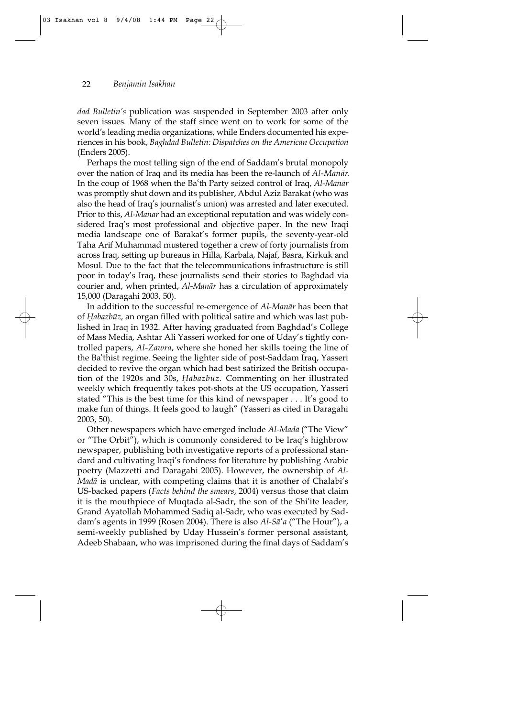*dad Bulletin's* publication was suspended in September 2003 after only seven issues. Many of the staff since went on to work for some of the world's leading media organizations, while Enders documented his experiences in his book, *Baghdad Bulletin: Dispatches on the American Occupation* (Enders 2005).

Perhaps the most telling sign of the end of Saddam's brutal monopoly over the nation of Iraq and its media has been the re-launch of *Al-Manār*. In the coup of 1968 when the Ba<sup>t</sup>th Party seized control of Iraq, *Al-Manar* was promptly shut down and its publisher, Abdul Aziz Barakat (who was also the head of Iraq's journalist's union) was arrested and later executed. Prior to this, *Al-Manār* had an exceptional reputation and was widely considered Iraq's most professional and objective paper. In the new Iraqi media landscape one of Barakat's former pupils, the seventy-year-old Taha Arif Muhammad mustered together a crew of forty journalists from across Iraq, setting up bureaus in Hilla, Karbala, Najaf, Basra, Kirkuk and Mosul. Due to the fact that the telecommunications infrastructure is still poor in today's Iraq, these journalists send their stories to Baghdad via courier and, when printed, *Al-Manār* has a circulation of approximately 15,000 (Daragahi 2003, 50).

In addition to the successful re-emergence of *Al-Manār* has been that of *Habazbūz*, an organ filled with political satire and which was last published in Iraq in 1932. After having graduated from Baghdad's College of Mass Media, Ashtar Ali Yasseri worked for one of Uday's tightly controlled papers, *Al-Zawra*, where she honed her skills toeing the line of the Ba†thist regime. Seeing the lighter side of post-Saddam Iraq, Yasseri decided to revive the organ which had best satirized the British occupation of the 1920s and 30s, *Habazbūz*. Commenting on her illustrated weekly which frequently takes pot-shots at the US occupation, Yasseri stated "This is the best time for this kind of newspaper . . . It's good to make fun of things. It feels good to laugh" (Yasseri as cited in Daragahi 2003, 50).

Other newspapers which have emerged include *Al-Mad§* ("The View" or "The Orbit"), which is commonly considered to be Iraq's highbrow newspaper, publishing both investigative reports of a professional standard and cultivating Iraqi's fondness for literature by publishing Arabic poetry (Mazzetti and Daragahi 2005). However, the ownership of *Al-Madā* is unclear, with competing claims that it is another of Chalabi's US-backed papers (*Facts behind the smears*, 2004) versus those that claim it is the mouthpiece of Muqtada al-Sadr, the son of the Shi†ite leader, Grand Ayatollah Mohammed Sadiq al-Sadr, who was executed by Saddam's agents in 1999 (Rosen 2004). There is also *Al-S§†a* ("The Hour"), a semi-weekly published by Uday Hussein's former personal assistant, Adeeb Shabaan, who was imprisoned during the final days of Saddam's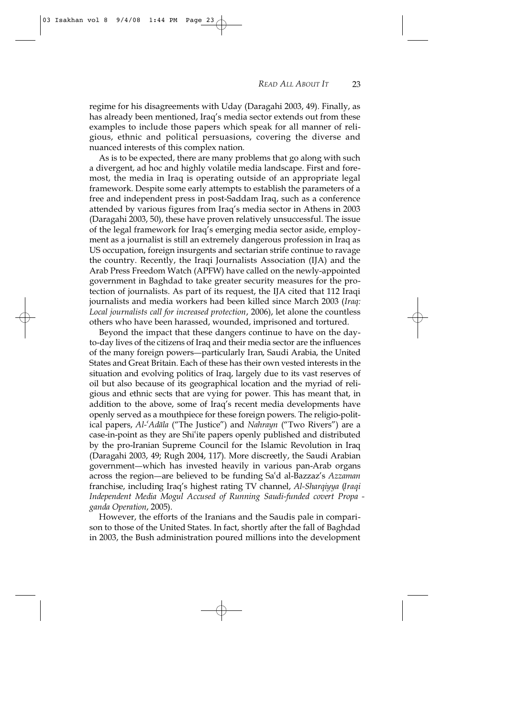03 Isakhan vol 8 9/4/08 1:44 PM Page 23

regime for his disagreements with Uday (Daragahi 2003, 49). Finally, as has already been mentioned, Iraq's media sector extends out from these examples to include those papers which speak for all manner of religious, ethnic and political persuasions, covering the diverse and nuanced interests of this complex nation.

As is to be expected, there are many problems that go along with such a divergent, ad hoc and highly volatile media landscape. First and foremost, the media in Iraq is operating outside of an appropriate legal framework. Despite some early attempts to establish the parameters of a free and independent press in post-Saddam Iraq, such as a conference attended by various figures from Iraq's media sector in Athens in 2003 (Daragahi 2003, 50), these have proven relatively unsuccessful. The issue of the legal framework for Iraq's emerging media sector aside, employment as a journalist is still an extremely dangerous profession in Iraq as US occupation, foreign insurgents and sectarian strife continue to ravage the country. Recently, the Iraqi Journalists Association (IJA) and the Arab Press Freedom Watch (APFW) have called on the newly-appointed government in Baghdad to take greater security measures for the protection of journalists. As part of its request, the IJA cited that 112 Iraqi journalists and media workers had been killed since March 2003 (*Iraq: Local journalists call for increased protection*, 2006), let alone the countless others who have been harassed, wounded, imprisoned and tortured.

Beyond the impact that these dangers continue to have on the dayto-day lives of the citizens of Iraq and their media sector are the influences of the many foreign powers—particularly Iran, Saudi Arabia, the United States and Great Britain. Each of these has their own vested interests in the situation and evolving politics of Iraq, largely due to its vast reserves of oil but also because of its geographical location and the myriad of religious and ethnic sects that are vying for power. This has meant that, in addition to the above, some of Iraq's recent media developments have openly served as a mouthpiece for these foreign powers. The religio-political papers, *Al-<sup>c</sup>Adāla* ("The Justice") and *Nahrayn* ("Two Rivers") are a case-in-point as they are Shi†ite papers openly published and distributed by the pro-Iranian Supreme Council for the Islamic Revolution in Iraq (Daragahi 2003, 49; Rugh 2004, 117). More discreetly, the Saudi Arabian government—which has invested heavily in various pan-Arab organs across the region—are believed to be funding Sa'd al-Bazzaz's *Azzaman* franchise, including Iraq's highest rating TV channel, *Al-Sharqiyya (Iraqi*) *Independent Media Mogul Accused of Running Saudi-funded covert Propa ganda Operation*, 2005).

However, the efforts of the Iranians and the Saudis pale in comparison to those of the United States. In fact, shortly after the fall of Baghdad in 2003, the Bush administration poured millions into the development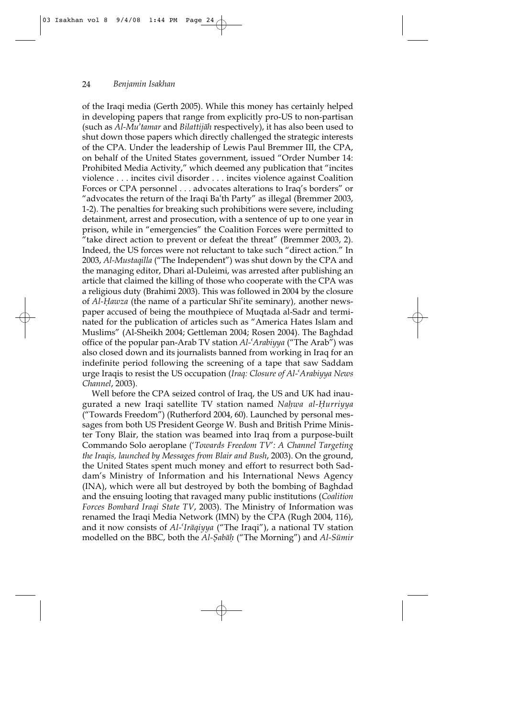of the Iraqi media (Gerth 2005). While this money has certainly helped in developing papers that range from explicitly pro-US to non-partisan (such as *Al-Mu¥tamar* and *Bilattij§h* respectively), it has also been used to shut down those papers which directly challenged the strategic interests of the CPA. Under the leadership of Lewis Paul Bremmer III, the CPA, on behalf of the United States government, issued "Order Number 14: Prohibited Media Activity," which deemed any publication that "incites violence . . . incites civil disorder . . . incites violence against Coalition Forces or CPA personnel . . . advocates alterations to Iraq's borders" or "advocates the return of the Iraqi Ba†th Party" as illegal (Bremmer 2003, 1-2). The penalties for breaking such prohibitions were severe, including detainment, arrest and prosecution, with a sentence of up to one year in prison, while in "emergencies" the Coalition Forces were permitted to "take direct action to prevent or defeat the threat" (Bremmer 2003, 2). Indeed, the US forces were not reluctant to take such "direct action." In 2003, *Al-Mustaqilla* ("The Independent") was shut down by the CPA and the managing editor, Dhari al-Duleimi, was arrested after publishing an article that claimed the killing of those who cooperate with the CPA was a religious duty (Brahimi 2003). This was followed in 2004 by the closure of *Al-⁄awza* (the name of a particular Shi†ite seminary)*,* another newspaper accused of being the mouthpiece of Muqtada al-Sadr and terminated for the publication of articles such as "America Hates Islam and Muslims" (Al-Sheikh 2004; Gettleman 2004; Rosen 2004). The Baghdad office of the popular pan-Arab TV station *Al-†Arabiyya* ("The Arab") was also closed down and its journalists banned from working in Iraq for an indefinite period following the screening of a tape that saw Saddam urge Iraqis to resist the US occupation (*Iraq: Closure of Al-†Arabiyya News Channel*, 2003).

Well before the CPA seized control of Iraq, the US and UK had inaugurated a new Iraqi satellite TV station named *Nahwa al-Hurriyya* ("Towards Freedom") (Rutherford 2004, 60). Launched by personal messages from both US President George W. Bush and British Prime Minister Tony Blair, the station was beamed into Iraq from a purpose-built Commando Solo aeroplane ('*Towards Freedom TV*'*: A Channel Targeting the Iraqis, launched by Messages from Blair and Bush*, 2003). On the ground, the United States spent much money and effort to resurrect both Saddam's Ministry of Information and his International News Agency (INA), which were all but destroyed by both the bombing of Baghdad and the ensuing looting that ravaged many public institutions (*Coalition Forces Bombard Iraqi State TV*, 2003). The Ministry of Information was renamed the Iraqi Media Network (IMN) by the CPA (Rugh 2004, 116), and it now consists of *Al-†Ir§qiyya* ("The Iraqi"), a national TV station modelled on the BBC, both the *Al-Sabāh* ("The Morning") and *Al-Sūmir*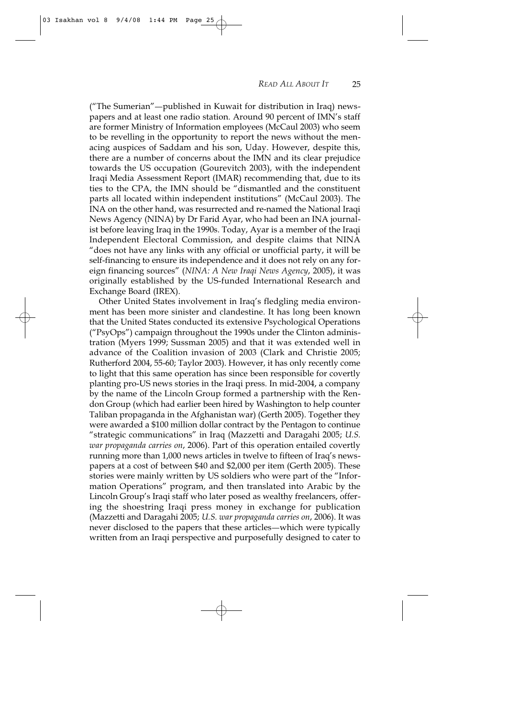("The Sumerian"-published in Kuwait for distribution in Iraq) newspapers and at least one radio station. Around 90 percent of IMN's staff are former Ministry of Information employees (McCaul 2003) who seem to be revelling in the opportunity to report the news without the menacing auspices of Saddam and his son, Uday. However, despite this, there are a number of concerns about the IMN and its clear prejudice towards the US occupation (Gourevitch 2003), with the independent Iraqi Media Assessment Report (IMAR) recommending that, due to its ties to the CPA, the IMN should be "dismantled and the constituent parts all located within independent institutions" (McCaul 2003). The INA on the other hand, was resurrected and re-named the National Iraqi News Agency (NINA) by Dr Farid Ayar, who had been an INA journalist before leaving Iraq in the 1990s. Today, Ayar is a member of the Iraqi Independent Electoral Commission, and despite claims that NINA "does not have any links with any official or unofficial party, it will be self-financing to ensure its independence and it does not rely on any foreign financing sources" (*NINA: A New Iraqi News Agency*, 2005), it was originally established by the US-funded International Research and Exchange Board (IREX).

Other United States involvement in Iraq's fledgling media environment has been more sinister and clandestine. It has long been known that the United States conducted its extensive Psychological Operations ("PsyOps") campaign throughout the 1990s under the Clinton administration (Myers 1999; Sussman 2005) and that it was extended well in advance of the Coalition invasion of 2003 (Clark and Christie 2005; Rutherford 2004, 55-60; Taylor 2003). However, it has only recently come to light that this same operation has since been responsible for covertly planting pro-US news stories in the Iraqi press. In mid-2004, a company by the name of the Lincoln Group formed a partnership with the Rendon Group (which had earlier been hired by Washington to help counter Taliban propaganda in the Afghanistan war) (Gerth 2005). Together they were awarded a \$100 million dollar contract by the Pentagon to continue "strategic communications" in Iraq (Mazzetti and Daragahi 2005; *U.S. war propaganda carries on*, 2006). Part of this operation entailed covertly running more than 1,000 news articles in twelve to fifteen of Iraq's newspapers at a cost of between \$40 and \$2,000 per item (Gerth 2005). These stories were mainly written by US soldiers who were part of the "Information Operations" program, and then translated into Arabic by the Lincoln Group's Iraqi staff who later posed as wealthy freelancers, offering the shoestring Iraqi press money in exchange for publication (Mazzetti and Daragahi 2005; *U.S. war propaganda carries on*, 2006). It was never disclosed to the papers that these articles—which were typically written from an Iraqi perspective and purposefully designed to cater to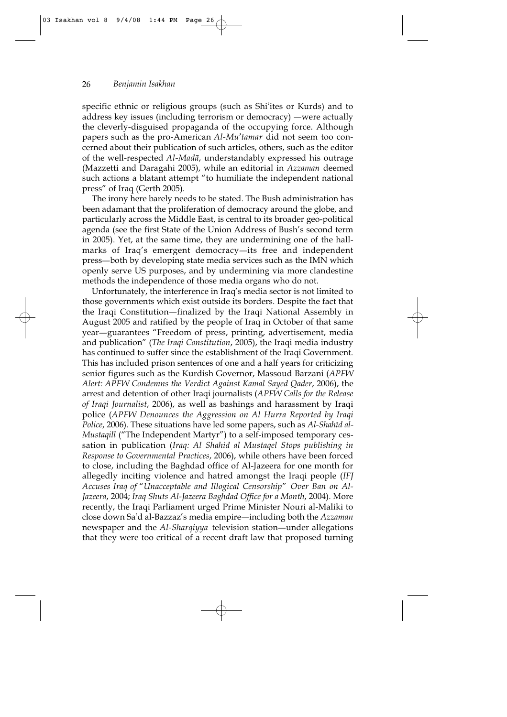specific ethnic or religious groups (such as Shi'ites or Kurds) and to address key issues (including terrorism or democracy) —were actually the cleverly-disguised propaganda of the occupying force. Although papers such as the pro-American *Al-Mu'tamar* did not seem too concerned about their publication of such articles, others, such as the editor of the well-respected *Al-Mad§*, understandably expressed his outrage (Mazzetti and Daragahi 2005), while an editorial in *Azzaman* deemed such actions a blatant attempt "to humiliate the independent national press" of Iraq (Gerth 2005).

The irony here barely needs to be stated. The Bush administration has been adamant that the proliferation of democracy around the globe, and particularly across the Middle East, is central to its broader geo-political agenda (see the first State of the Union Address of Bush's second term in 2005). Yet, at the same time, they are undermining one of the hallmarks of Iraq's emergent democracy—its free and independent press—both by developing state media services such as the IMN which openly serve US purposes, and by undermining via more clandestine methods the independence of those media organs who do not.

Unfortunately, the interference in Iraq's media sector is not limited to those governments which exist outside its borders. Despite the fact that the Iraqi Constitution—finalized by the Iraqi National Assembly in August 2005 and ratified by the people of Iraq in October of that same year-guarantees "Freedom of press, printing, advertisement, media and publication" (*The Iraqi Constitution*, 2005), the Iraqi media industry has continued to suffer since the establishment of the Iraqi Government. This has included prison sentences of one and a half years for criticizing senior figures such as the Kurdish Governor, Massoud Barzani (*APFW Alert: APFW Condemns the Verdict Against Kamal Sayed Qader*, 2006), the arrest and detention of other Iraqi journalists (*APFW Calls for the Release of Iraqi Journalist*, 2006), as well as bashings and harassment by Iraqi police (*APFW Denounces the Aggression on Al Hurra Reported by Iraqi Police,* 2006). These situations have led some papers, such as *Al-Shahīd al-Mustaqill* ("The Independent Martyr") to a self-imposed temporary cessation in publication (*Iraq: Al Shahid al Mustaqel Stops publishing in Response to Governmental Practices*, 2006), while others have been forced to close, including the Baghdad office of Al-Jazeera for one month for allegedly inciting violence and hatred amongst the Iraqi people (*IFJ Accuses Iraq of* "*Unacceptable and Illogical Censorship*" *Over Ban on Al-Jazeera*, 2004; *Iraq Shuts Al-Jazeera Baghdad Office for a Month*, 2004). More recently, the Iraqi Parliament urged Prime Minister Nouri al-Maliki to close down Sa<sup>*'d al-Bazzaz's* media empire—including both the *Azzaman*</sup> newspaper and the *Al-Sharqiyya* television station—under allegations that they were too critical of a recent draft law that proposed turning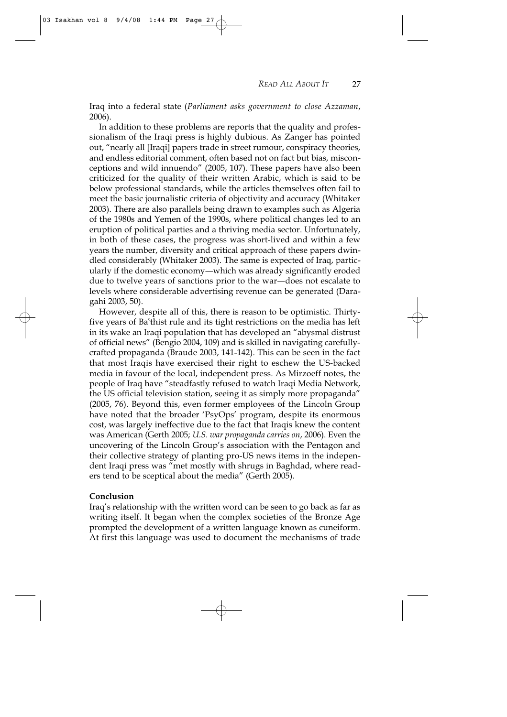Iraq into a federal state (*Parliament asks government to close Azzaman*, 2006).

In addition to these problems are reports that the quality and professionalism of the Iraqi press is highly dubious. As Zanger has pointed out, "nearly all [Iraqi] papers trade in street rumour, conspiracy theories, and endless editorial comment, often based not on fact but bias, misconceptions and wild innuendo" (2005, 107). These papers have also been criticized for the quality of their written Arabic, which is said to be below professional standards, while the articles themselves often fail to meet the basic journalistic criteria of objectivity and accuracy (Whitaker 2003). There are also parallels being drawn to examples such as Algeria of the 1980s and Yemen of the 1990s, where political changes led to an eruption of political parties and a thriving media sector. Unfortunately, in both of these cases, the progress was short-lived and within a few years the number, diversity and critical approach of these papers dwindled considerably (Whitaker 2003). The same is expected of Iraq, particularly if the domestic economy—which was already significantly eroded due to twelve years of sanctions prior to the war—does not escalate to levels where considerable advertising revenue can be generated (Daragahi 2003, 50).

However, despite all of this, there is reason to be optimistic. Thirtyfive years of Ba†thist rule and its tight restrictions on the media has left in its wake an Iraqi population that has developed an "abysmal distrust of official news" (Bengio 2004, 109) and is skilled in navigating carefullycrafted propaganda (Braude 2003, 141-142). This can be seen in the fact that most Iraqis have exercised their right to eschew the US-backed media in favour of the local, independent press. As Mirzoeff notes, the people of Iraq have "steadfastly refused to watch Iraqi Media Network, the US official television station, seeing it as simply more propaganda" (2005, 76). Beyond this, even former employees of the Lincoln Group have noted that the broader 'PsyOps' program, despite its enormous cost, was largely ineffective due to the fact that Iraqis knew the content was American (Gerth 2005; *U.S. war propaganda carries on*, 2006). Even the uncovering of the Lincoln Group's association with the Pentagon and their collective strategy of planting pro-US news items in the independent Iraqi press was "met mostly with shrugs in Baghdad, where readers tend to be sceptical about the media" (Gerth 2005).

## **Conclusion**

Iraq's relationship with the written word can be seen to go back as far as writing itself. It began when the complex societies of the Bronze Age prompted the development of a written language known as cuneiform. At first this language was used to document the mechanisms of trade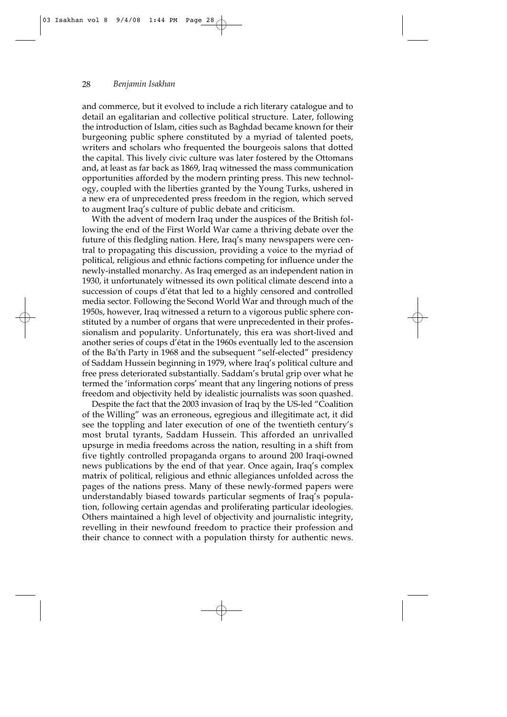and commerce, but it evolved to include a rich literary catalogue and to detail an egalitarian and collective political structure. Later, following the introduction of Islam, cities such as Baghdad became known for their burgeoning public sphere constituted by a myriad of talented poets, writers and scholars who frequented the bourgeois salons that dotted the capital. This lively civic culture was later fostered by the Ottomans and, at least as far back as 1869, Iraq witnessed the mass communication opportunities afforded by the modern printing press. This new technology, coupled with the liberties granted by the Young Turks, ushered in a new era of unprecedented press freedom in the region, which served to augment Iraq's culture of public debate and criticism.

With the advent of modern Iraq under the auspices of the British following the end of the First World War came a thriving debate over the future of this fledgling nation. Here, Iraq's many newspapers were central to propagating this discussion, providing a voice to the myriad of political, religious and ethnic factions competing for influence under the newly-installed monarchy. As Iraq emerged as an independent nation in 1930, it unfortunately witnessed its own political climate descend into a succession of coups d'état that led to a highly censored and controlled media sector. Following the Second World War and through much of the 1950s, however, Iraq witnessed a return to a vigorous public sphere constituted by a number of organs that were unprecedented in their professionalism and popularity. Unfortunately, this era was short-lived and another series of coups d'état in the 1960s eventually led to the ascension of the Ba†th Party in 1968 and the subsequent "self-elected" presidency of Saddam Hussein beginning in 1979, where Iraq's political culture and free press deteriorated substantially. Saddam's brutal grip over what he termed the 'information corps' meant that any lingering notions of press freedom and objectivity held by idealistic journalists was soon quashed.

Despite the fact that the 2003 invasion of Iraq by the US-led "Coalition of the Willing" was an erroneous, egregious and illegitimate act, it did see the toppling and later execution of one of the twentieth century's most brutal tyrants, Saddam Hussein. This afforded an unrivalled upsurge in media freedoms across the nation, resulting in a shift from five tightly controlled propaganda organs to around 200 Iraqi-owned news publications by the end of that year. Once again, Iraq's complex matrix of political, religious and ethnic allegiances unfolded across the pages of the nations press. Many of these newly-formed papers were understandably biased towards particular segments of Iraq's population, following certain agendas and proliferating particular ideologies. Others maintained a high level of objectivity and journalistic integrity, revelling in their newfound freedom to practice their profession and their chance to connect with a population thirsty for authentic news.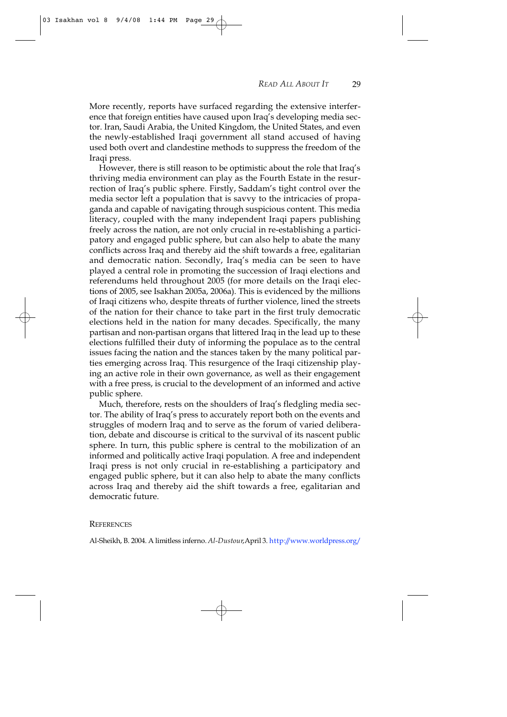More recently, reports have surfaced regarding the extensive interference that foreign entities have caused upon Iraq's developing media sector. Iran, Saudi Arabia, the United Kingdom, the United States, and even the newly-established Iraqi government all stand accused of having used both overt and clandestine methods to suppress the freedom of the Iraqi press.

However, there is still reason to be optimistic about the role that Iraq's thriving media environment can play as the Fourth Estate in the resurrection of Iraq's public sphere. Firstly, Saddam's tight control over the media sector left a population that is savvy to the intricacies of propaganda and capable of navigating through suspicious content. This media literacy, coupled with the many independent Iraqi papers publishing freely across the nation, are not only crucial in re-establishing a participatory and engaged public sphere, but can also help to abate the many conflicts across Iraq and thereby aid the shift towards a free, egalitarian and democratic nation. Secondly, Iraq's media can be seen to have played a central role in promoting the succession of Iraqi elections and referendums held throughout 2005 (for more details on the Iraqi elections of 2005, see Isakhan 2005a, 2006a). This is evidenced by the millions of Iraqi citizens who, despite threats of further violence, lined the streets of the nation for their chance to take part in the first truly democratic elections held in the nation for many decades. Specifically, the many partisan and non-partisan organs that littered Iraq in the lead up to these elections fulfilled their duty of informing the populace as to the central issues facing the nation and the stances taken by the many political parties emerging across Iraq. This resurgence of the Iraqi citizenship playing an active role in their own governance, as well as their engagement with a free press, is crucial to the development of an informed and active public sphere.

Much, therefore, rests on the shoulders of Iraq's fledgling media sector. The ability of Iraq's press to accurately report both on the events and struggles of modern Iraq and to serve as the forum of varied deliberation, debate and discourse is critical to the survival of its nascent public sphere. In turn, this public sphere is central to the mobilization of an informed and politically active Iraqi population. A free and independent Iraqi press is not only crucial in re-establishing a participatory and engaged public sphere, but it can also help to abate the many conflicts across Iraq and thereby aid the shift towards a free, egalitarian and democratic future.

#### **REFERENCES**

Al-Sheikh, B. 2004. A limitless inferno. *Al-Dustour*, April 3. http://www.worldpress.org/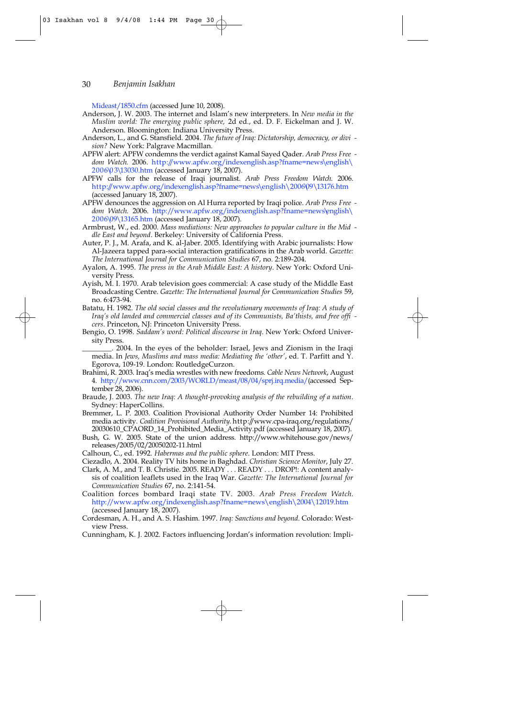Mideast/1850.cfm (accessed June 10, 2008).

Anderson, J. W. 2003. The internet and Islam's new interpreters. In *New media in the Muslim world: The emerging public sphere,* 2d ed., ed. D. F. Eickelman and J. W. Anderson. Bloomington: Indiana University Press.

Anderson, L., and G. Stansfield. 2004. *The future of Iraq: Dictatorship, democracy, or divi sion?* New York: Palgrave Macmillan.

APFW alert: APFW condemns the verdict against Kamal Sayed Qader. *Arab Press Free*  dom Watch. 2006. http://www.apfw.org/indexenglish.asp?fname=news\english\ 2006\03\13030.htm (accessed January 18, 2007).

APFW calls for the release of Iraqi journalist. Arab Press Freedom Watch. 2006. http://www.apfw.org/indexenglish.asp?fname=news\english\2006\09\13176.htm (accessed January 18, 2007).

APFW denounces the aggression on Al Hurra reported by Iraqi police. *Arab Press Free dom Watch.* 2006. http://www.apfw.org/indexenglish.asp?fname=news\english\ 2006\09\13165.htm (accessed January 18, 2007).

Armbrust, W., ed. 2000. *Mass mediations: New approaches to popular culture in the Mid dle East and beyond*. Berkeley: University of California Press.

Auter, P. J., M. Arafa, and K. al-Jaber. 2005. Identifying with Arabic journalists: How Al-Jazeera tapped para-social interaction gratifications in the Arab world. *Gazette: The International Journal for Communication Studies* 67, no. 2:189-204.

- Ayalon, A. 1995. *The press in the Arab Middle East: A history*. New York: Oxford University Press.
- Ayish, M. I. 1970. Arab television goes commercial: A case study of the Middle East Broadcasting Centre. *Gazette: The International Journal for Communication Studies* 59, no. 6:473-94.

Batatu, H. 1982. *The old social classes and the revolutionary movements of Iraq: A study of Iraq's old landed and commercial classes and of its Communists, Ba'thists, and free offi cers*. Princeton, NJ: Princeton University Press.

Bengio, O. 1998. *Saddam's word: Political discourse in Iraq*. New York: Oxford University Press

\_\_\_\_\_\_\_\_. 2004. In the eyes of the beholder: Israel, Jews and Zionism in the Iraqi media. In *Jews, Muslims and mass media: Mediating the 'other'*, ed. T. Parfitt and Y. Egorova, 109-19. London: RoutledgeCurzon.

- Brahimi, R. 2003. Iraq's media wrestles with new freedoms. *Cable News Network*, August 4. http://www.cnn.com/2003/WORLD/meast/08/04/sprj.irq.media/(accessed September 28, 2006).
- Braude, J. 2003. *The new Iraq: A thought-provoking analysis of the rebuilding of a nation*. Sydney: HaperCollins.

Bremmer, L. P. 2003. Coalition Provisional Authority Order Number 14: Prohibited media activity. *Coalition Provisional Authority*. http://www.cpa-iraq.org/regulations/ 20030610\_CPAORD\_14\_Prohibited\_Media\_Activity.pdf (accessed January 18, 2007).

Bush, G. W. 2005. State of the union address. http://www.whitehouse.gov/news/ releases/2005/02/20050202-11.html

Calhoun, C., ed. 1992. *Habermas and the public sphere*. London: MIT Press.

Ciezadlo, A. 2004. Reality TV hits home in Baghdad. *Christian Science Monitor*, July 27.

Clark, A. M., and T. B. Christie. 2005. READY . . . READY . . . DROP!: A content analysis of coalition leaflets used in the Iraq War. *Gazette: The International Journal for Communication Studies* 67, no. 2:141-54.

Coalition forces bombard Iraqi state TV. 2003. *Arab Press Freedom Watch.* http://www.apfw.org/indexenglish.asp?fname=news\english\2004\12019.htm (accessed January 18, 2007).

Cordesman, A. H., and A. S. Hashim. 1997. *Iraq: Sanctions and beyond*. Colorado: Westview Press.

Cunningham, K. J. 2002. Factors influencing Jordan's information revolution: Impli-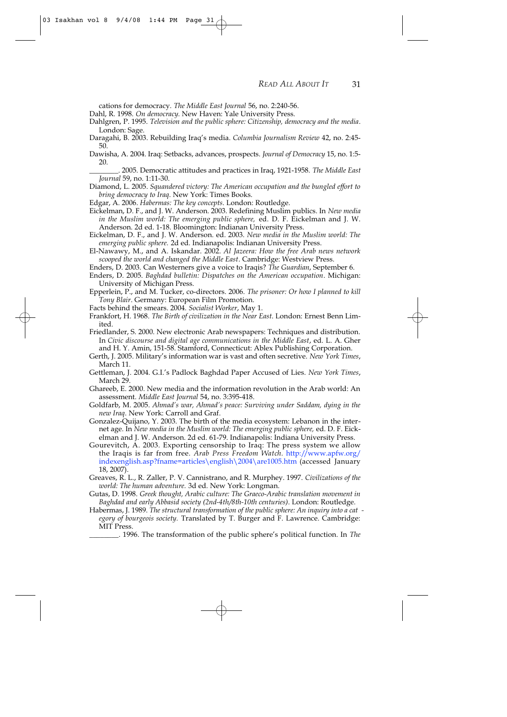cations for democracy. *The Middle East Journal* 56, no. 2:240-56.

03 Isakhan vol 8 9/4/08 1:44 PM Page 31

Dahl, R. 1998. *On democracy*. New Haven: Yale University Press.

Dahlgren, P. 1995. *Television and the public sphere: Citizenship, democracy and the media*. London: Sage.

Daragahi, B. 2003. Rebuilding Iraq's media. *Columbia Journalism Review* 42, no. 2:45- 50.

Dawisha, A. 2004. Iraq: Setbacks, advances, prospects. *Journal of Democracy* 15, no. 1:5- 20.

\_\_\_\_\_\_\_\_. 2005. Democratic attitudes and practices in Iraq, 1921-1958. *The Middle East Journal* 59, no. 1:11-30.

Diamond, L. 2005. *Squandered victory: The American occupation and the bungled effort to bring democracy to Iraq*. New York: Times Books.

Edgar, A. 2006. *Habermas: The key concepts*. London: Routledge.

Eickelman, D. F., and J. W. Anderson. 2003. Redefining Muslim publics. In *New media in the Muslim world: The emerging public sphere,* ed. D. F. Eickelman and J. W. Anderson. 2d ed. 1-18. Bloomington: Indianan University Press.

Eickelman, D. F., and J. W. Anderson. ed. 2003. *New media in the Muslim world: The emerging public sphere.* 2d ed. Indianapolis: Indianan University Press.

El-Nawawy, M., and A. Iskandar. 2002. *Al Jazeera: How the free Arab news network scooped the world and changed the Middle East*. Cambridge: Westview Press.

Enders, D. 2003. Can Westerners give a voice to Iraqis? *The Guardian*, September 6. Enders, D. 2005. *Baghdad bulletin: Dispatches on the American occupation*. Michigan: University of Michigan Press.

Epperlein, P., and M. Tucker, co-directors. 2006. *The prisoner: Or how I planned to kill Tony Blair*. Germany: European Film Promotion.

Facts behind the smears. 2004. *Socialist Worker*, May 1.

Frankfort, H. 1968. *The Birth of civilization in the Near East*. London: Ernest Benn Limited.

Friedlander, S. 2000. New electronic Arab newspapers: Techniques and distribution. In *Civic discourse and digital age communications in the Middle East*, ed. L. A. Gher and H. Y. Amin, 151-58. Stamford, Connecticut: Ablex Publishing Corporation.

Gerth, J. 2005. Military's information war is vast and often secretive. *New York Times*, March 11.

Gettleman, J. 2004. G.I.'s Padlock Baghdad Paper Accused of Lies. *New York Times*, March 29

Ghareeb, E. 2000. New media and the information revolution in the Arab world: An assessment. *Middle East Journal* 54, no. 3:395-418.

Goldfarb, M. 2005. *Ahmad's war, Ahmad's peace: Surviving under Saddam, dying in the new Iraq*. New York: Carroll and Graf.

Gonzalez-Quijano, Y. 2003. The birth of the media ecosystem: Lebanon in the internet age. In *New media in the Muslim world: The emerging public sphere,* ed. D. F. Eickelman and J. W. Anderson. 2d ed. 61-79. Indianapolis: Indiana University Press.

Gourevitch, A. 2003. Exporting censorship to Iraq: The press system we allow the Iraqis is far from free. *Arab Press Freedom Watch.* http://www.apfw.org/ indexenglish.asp?fname=articles\english\2004\are1005.htm (accessed January 18, 2007).

Greaves, R. L., R. Zaller, P. V. Cannistrano, and R. Murphey. 1997. *Civilizations of the world: The human adventure.* 3d ed. New York: Longman.

Gutas, D. 1998. *Greek thought, Arabic culture: The Graeco-Arabic translation movement in Baghdad and early Abbasid society (2nd-4th/8th-10th centuries)*. London: Routledge.

Habermas, J. 1989. *The structural transformation of the public sphere: An inquiry into a cat egory of bourgeois society.* Translated by T. Burger and F. Lawrence. Cambridge: MIT Press.

\_\_\_\_\_\_\_\_. 1996. The transformation of the public sphere's political function. In *The*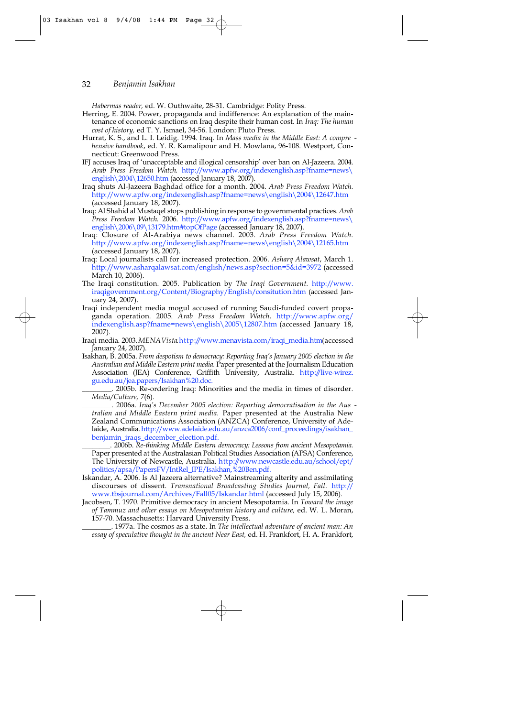*Habermas reader,* ed. W. Outhwaite, 28-31. Cambridge: Polity Press.

- Herring, E. 2004. Power, propaganda and indifference: An explanation of the maintenance of economic sanctions on Iraq despite their human cost. In *Iraq: The human cost of history,* ed T. Y. Ismael, 34-56. London: Pluto Press.
- Hurrat, K. S., and L. I. Leidig. 1994. Iraq. In *Mass media in the Middle East: A compre hensive handbook*, ed. Y. R. Kamalipour and H. Mowlana, 96-108. Westport, Connecticut: Greenwood Press.
- IFJ accuses Iraq of 'unacceptable and illogical censorship' over ban on Al-Jazeera. 2004. Arab Press Freedom Watch. http://www.apfw.org/indexenglish.asp?fname=news\ english\2004\12650.htm (accessed January 18, 2007).
- Iraq shuts Al-Jazeera Baghdad office for a month. 2004. *Arab Press Freedom Watch.* http://www.apfw.org/indexenglish.asp?fname=news\english\2004\12647.htm (accessed January 18, 2007).
- Iraq: Al Shahid al Mustaqel stops publishing in response to governmental practices. Arab *Press Freedom Watch.* 2006. http://www.apfw.org/indexenglish.asp?fname=news\ english\2006\09\13179.htm#topOfPage (accessed January 18, 2007).
- Iraq: Closure of Al-Arabiya news channel. 2003. *Arab Press Freedom Watch.* http://www.apfw.org/indexenglish.asp?fname=news\english\2004\12165.htm (accessed January 18, 2007).
- Iraq: Local journalists call for increased protection. 2006. *Asharq Alawsat*, March 1. http://www.asharqalawsat.com/english/news.asp?section=5&id=3972 (accessed March 10, 2006).
- The Iraqi constitution. 2005. Publication by *The Iraqi Government.* http://www. iraqigovernment.org/Content/Biography/English/consitution.htm (accessed January 24, 2007).
- Iraqi independent media mogul accused of running Saudi-funded covert propaganda operation. 2005. Arab Press Freedom Watch. http://www.apfw.org indexenglish.asp?fname=news\english\2005\12807.htm (accessed January 18, 2007).
- Iraqi media. 2003. *MENA Vista* http://www.menavista.com/iraqi\_media.htm (accessed January 24, 2007).
- Isakhan, B. 2005a. *From despotism to democracy: Reporting Iraq's January 2005 election in the Australian and Middle Eastern print media.* Paper presented at the Journalism Education Association (JEA) Conference, Griffith University, Australia. http://live-wirez. gu.edu.au/jea.papers/Isakhan%20.doc.
- \_\_\_\_\_\_\_\_. 2005b. Re-ordering Iraq: Minorities and the media in times of disorder. *Media/Culture, 7*(6).
- \_\_\_\_\_\_\_\_. 2006a. *Iraq's December 2005 election: Reporting democratisation in the Aus tralian and Middle Eastern print media.* Paper presented at the Australia New Zealand Communications Association (ANZCA) Conference, University of Adelaide, Australia.http://www.adelaide.edu.au/anzca2006/conf\_proceedings/isakhan\_ benjamin\_iraqs\_december\_election.pdf.
- \_\_\_\_\_\_\_\_. 2006b. *Re-thinking Middle Eastern democracy: Lessons from ancient Mesopotamia.* Paper presented at the Australasian Political Studies Association (APSA) Conference, The University of Newcastle, Australia. http://www.newcastle.edu.au/school/ept/ politics/apsa/PapersFV/IntRel\_IPE/Isakhan,%20Ben.pdf.
- Iskandar, A. 2006. Is Al Jazeera alternative? Mainstreaming alterity and assimilating discourses of dissent. *Transnational Broadcasting Studies Journal, Fall*. http:// www.tbsjournal.com/Archives/Fall05/Iskandar.html (accessed July 15, 2006).
- Jacobsen, T. 1970. Primitive democracy in ancient Mesopotamia. In *Toward the image of Tammuz and other essays on Mesopotamian history and culture,* ed. W. L. Moran, 157-70. Massachusetts: Harvard University Press.

\_\_\_\_\_\_\_\_. 1977a. The cosmos as a state. In *The intellectual adventure of ancient man: An essay of speculative thought in the ancient Near East,* ed. H. Frankfort, H. A. Frankfort,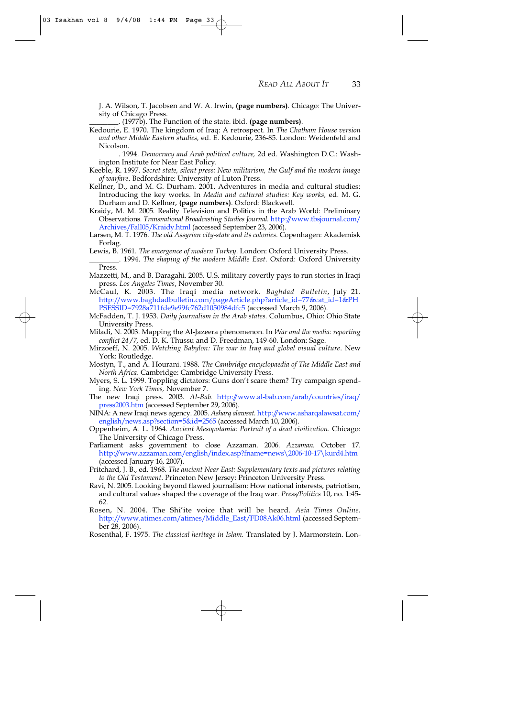J. A. Wilson, T. Jacobsen and W. A. Irwin, **(page numbers)**. Chicago: The University of Chicago Press.

\_\_\_\_\_\_\_\_. (1977b). The Function of the state. ibid. **(page numbers)**.

Kedourie, E. 1970. The kingdom of Iraq: A retrospect. In *The Chatham House version and other Middle Eastern studies,* ed. E. Kedourie, 236-85. London: Weidenfeld and Nicolson.

\_\_\_\_\_\_\_\_. 1994. *Democracy and Arab political culture,* 2d ed. Washington D.C.: Washington Institute for Near East Policy.

Keeble, R. 1997. *Secret state, silent press: New militarism, the Gulf and the modern image of warfare*. Bedfordshire: University of Luton Press.

- Kellner, D., and M. G. Durham. 2001. Adventures in media and cultural studies: Introducing the key works. In *Media and cultural studies: Key works,* ed. M. G. Durham and D. Kellner, **(page numbers)**. Oxford: Blackwell.
- Kraidy, M. M. 2005. Reality Television and Politics in the Arab World: Preliminary Observations. Transnational Broadcasting Studies Journal. http://www.tbsjournal.com/ Archives/Fall05/Kraidy.html (accessed September 23, 2006).

Larsen, M. T. 1976. *The old Assyrian city-state and its colonies*. Copenhagen: Akademisk Forlag.

Lewis, B. 1961. *The emergence of modern Turkey*. London: Oxford University Press.

\_\_\_\_\_\_\_\_. 1994. *The shaping of the modern Middle East*. Oxford: Oxford University Press.

- Mazzetti, M., and B. Daragahi. 2005. U.S. military covertly pays to run stories in Iraqi press. *Los Angeles Times*, November 30.
- McCaul, K. 2003. The Iraqi media network. *Baghdad Bulletin*, July 21. http://www.baghdadbulletin.com/pageArticle.php?article\_id=77&cat\_id=1&PH PSESSID=7928a711fde9e99fc762d1050984dfc5 (accessed March 9, 2006).
- McFadden, T. J. 1953. *Daily journalism in the Arab states*. Columbus, Ohio: Ohio State University Press.

Miladi, N. 2003. Mapping the Al-Jazeera phenomenon. In *War and the media: reporting conflict 24 /7,* ed. D. K. Thussu and D. Freedman, 149-60. London: Sage.

- Mirzoeff, N. 2005. *Watching Babylon: The war in Iraq and global visual culture*. New York: Routledge.
- Mostyn, T., and A. Hourani. 1988. *The Cambridge encyclopaedia of The Middle East and North Africa*. Cambridge: Cambridge University Press.
- Myers, S. L. 1999. Toppling dictators: Guns don't scare them? Try campaign spending*. New York Times,* November 7.

The new Iraqi press. 2003. Al-Bab. http://www.al-bab.com/arab/countries/iraq/ press2003.htm (accessed September 29, 2006).

NINA: A new Iraqi news agency. 2005. Asharq alawsat. http://www.asharqalawsat.com/ english/news.asp?section=5&id=2565 (accessed March 10, 2006).

- Oppenheim, A. L. 1964. *Ancient Mesopotamia: Portrait of a dead civilization*. Chicago: The University of Chicago Press.
- Parliament asks government to close Azzaman. 2006. Azzaman. October 17. http://www.azzaman.com/english/index.asp?fname=news\2006-10-17\kurd4.htm (accessed January 16, 2007).
- Pritchard, J. B., ed. 1968. *The ancient Near East: Supplementary texts and pictures relating to the Old Testament*. Princeton New Jersey: Princeton University Press.
- Ravi, N. 2005. Looking beyond flawed journalism: How national interests, patriotism, and cultural values shaped the coverage of the Iraq war. *Press/Politics* 10, no. 1:45- 62.
- Rosen, N. 2004. The Shi'ite voice that will be heard. *Asia Times Online.* http://www.atimes.com/atimes/Middle\_East/FD08Ak06.html (accessed September 28, 2006).

Rosenthal, F. 1975. *The classical heritage in Islam.* Translated by J. Marmorstein. Lon-